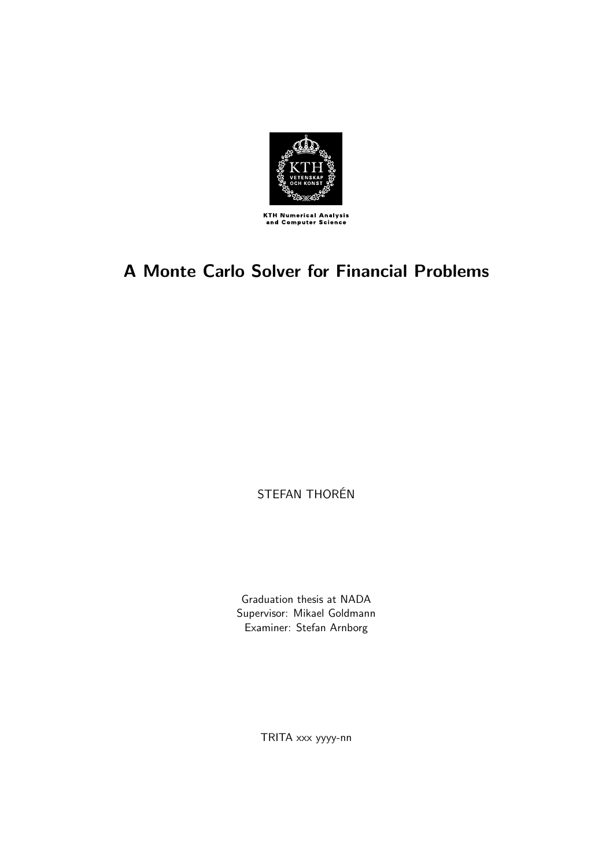

# **A Monte Carlo Solver for Financial Problems**

STEFAN THORÉN

Graduation thesis at NADA Supervisor: Mikael Goldmann Examiner: Stefan Arnborg

TRITA xxx yyyy-nn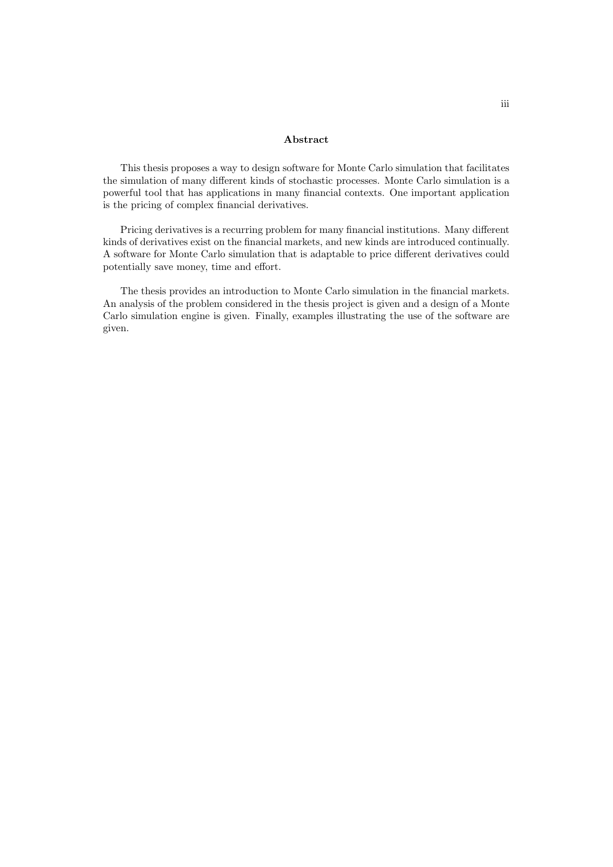#### **Abstract**

This thesis proposes a way to design software for Monte Carlo simulation that facilitates the simulation of many different kinds of stochastic processes. Monte Carlo simulation is a powerful tool that has applications in many financial contexts. One important application is the pricing of complex financial derivatives.

Pricing derivatives is a recurring problem for many financial institutions. Many different kinds of derivatives exist on the financial markets, and new kinds are introduced continually. A software for Monte Carlo simulation that is adaptable to price different derivatives could potentially save money, time and effort.

The thesis provides an introduction to Monte Carlo simulation in the financial markets. An analysis of the problem considered in the thesis project is given and a design of a Monte Carlo simulation engine is given. Finally, examples illustrating the use of the software are given.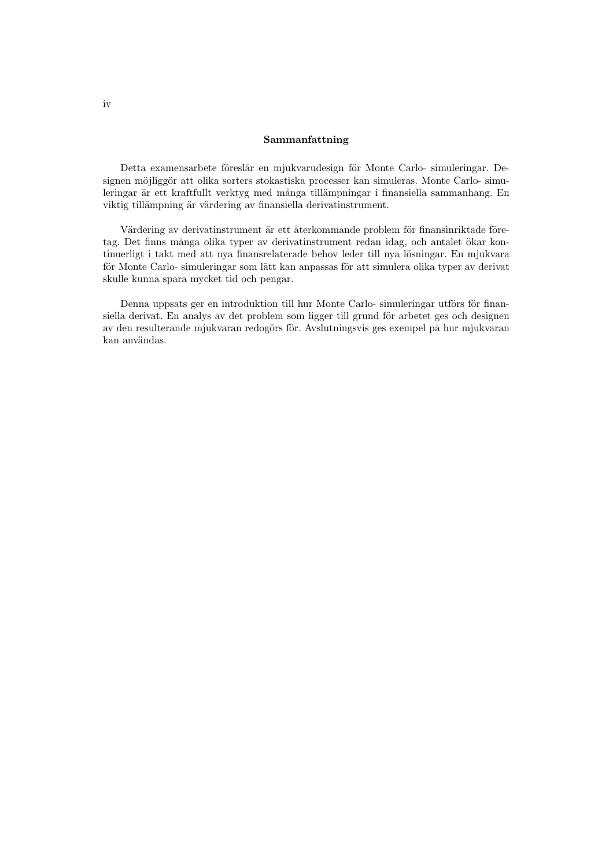#### **Sammanfattning**

Detta examensarbete föreslår en mjukvarudesign för Monte Carlo- simuleringar. Designen möjliggör att olika sorters stokastiska processer kan simuleras. Monte Carlo- simuleringar är ett kraftfullt verktyg med många tillämpningar i finansiella sammanhang. En viktig tillämpning är värdering av finansiella derivatinstrument.

Värdering av derivatinstrument är ett återkommande problem för finansinriktade företag. Det finns många olika typer av derivatinstrument redan idag, och antalet ökar kontinuerligt i takt med att nya finansrelaterade behov leder till nya lösningar. En mjukvara för Monte Carlo- simuleringar som lätt kan anpassas för att simulera olika typer av derivat skulle kunna spara mycket tid och pengar.

Denna uppsats ger en introduktion till hur Monte Carlo- simuleringar utförs för finansiella derivat. En analys av det problem som ligger till grund för arbetet ges och designen av den resulterande mjukvaran redogörs för. Avslutningsvis ges exempel på hur mjukvaran kan användas.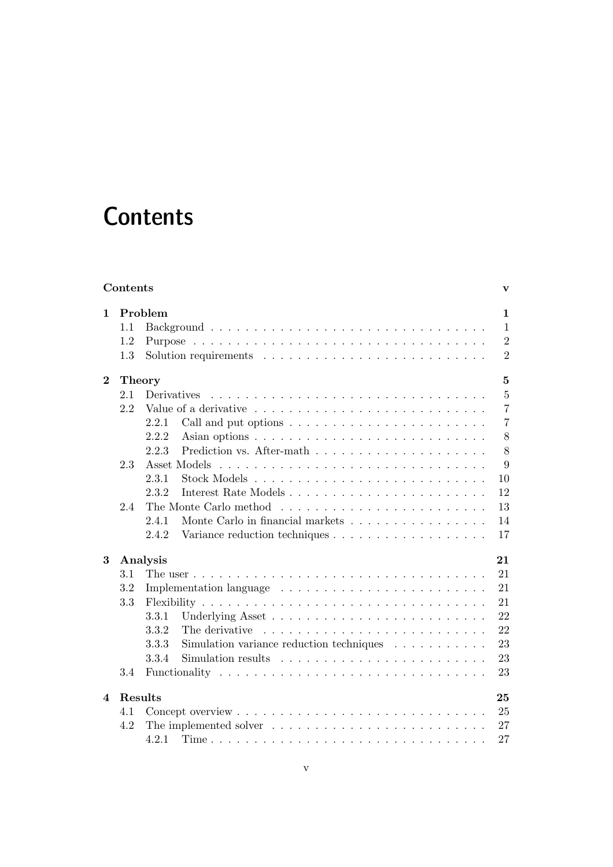# **Contents**

|          | Contents<br>v                 |                                                                                  |                |  |  |  |  |
|----------|-------------------------------|----------------------------------------------------------------------------------|----------------|--|--|--|--|
| 1        | Problem                       |                                                                                  |                |  |  |  |  |
|          | 1.1                           |                                                                                  | $\mathbf{1}$   |  |  |  |  |
|          | 1.2                           |                                                                                  | $\overline{2}$ |  |  |  |  |
|          | 1.3                           |                                                                                  | $\overline{2}$ |  |  |  |  |
| $\bf{2}$ | $\mathbf{5}$<br><b>Theory</b> |                                                                                  |                |  |  |  |  |
|          | 2.1                           | Derivatives                                                                      | $\overline{5}$ |  |  |  |  |
|          | 2.2                           |                                                                                  | $\overline{7}$ |  |  |  |  |
|          |                               | 2.2.1<br>Call and put options $\ldots \ldots \ldots \ldots \ldots \ldots \ldots$ | $\overline{7}$ |  |  |  |  |
|          |                               | 2.2.2                                                                            | 8              |  |  |  |  |
|          |                               | 2.2.3                                                                            | 8              |  |  |  |  |
|          | 2.3                           | Asset Models                                                                     | 9              |  |  |  |  |
|          |                               | 2.3.1                                                                            | 10             |  |  |  |  |
|          |                               | 2.3.2                                                                            | 12             |  |  |  |  |
|          | 2.4                           | The Monte Carlo method                                                           | 13             |  |  |  |  |
|          |                               | Monte Carlo in financial markets $\dots \dots \dots \dots \dots \dots$<br>2.4.1  | 14             |  |  |  |  |
|          |                               | 2.4.2                                                                            | 17             |  |  |  |  |
| 3        | Analysis<br>21                |                                                                                  |                |  |  |  |  |
|          | 3.1                           |                                                                                  | 21             |  |  |  |  |
|          | 3.2                           |                                                                                  | 21             |  |  |  |  |
|          | 3.3                           |                                                                                  | 21             |  |  |  |  |
|          |                               | 3.3.1                                                                            | 22             |  |  |  |  |
|          |                               | 3.3.2<br>The derivative                                                          | 22             |  |  |  |  |
|          |                               | 3.3.3<br>Simulation variance reduction techniques $\ldots \ldots \ldots$         | 23             |  |  |  |  |
|          |                               | 3.3.4                                                                            | 23             |  |  |  |  |
|          | 3.4                           |                                                                                  | 23             |  |  |  |  |
| 4        | Results                       |                                                                                  | 25             |  |  |  |  |
|          | 4.1                           |                                                                                  | 25             |  |  |  |  |
|          | 4.2                           |                                                                                  | 27             |  |  |  |  |
|          |                               | 4.2.1                                                                            | 27             |  |  |  |  |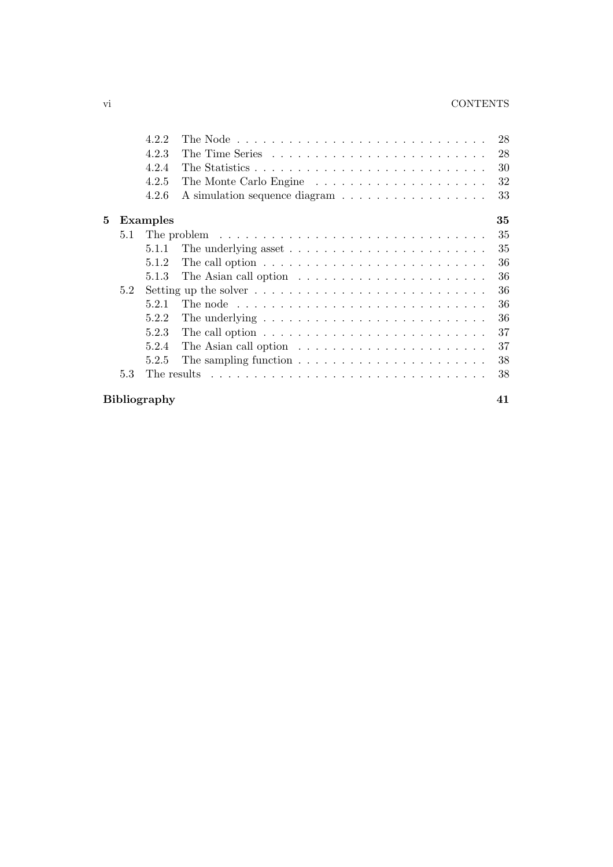#### vi CONTENTS

|   |                           | 4.2.2<br>4.2.3  |                                                                                           | 28<br>28 |  |  |  |
|---|---------------------------|-----------------|-------------------------------------------------------------------------------------------|----------|--|--|--|
|   |                           | 4.2.4           |                                                                                           | 30       |  |  |  |
|   |                           | 4.2.5           |                                                                                           | 32       |  |  |  |
|   |                           | 4.2.6           |                                                                                           | 33       |  |  |  |
| 5 |                           | <b>Examples</b> |                                                                                           | 35       |  |  |  |
|   | 5.1                       |                 | The problem $\ldots \ldots \ldots \ldots \ldots \ldots \ldots \ldots \ldots \ldots$       | 35       |  |  |  |
|   |                           | 5.1.1           |                                                                                           | 35       |  |  |  |
|   |                           | 5.1.2           | The call option $\ldots \ldots \ldots \ldots \ldots \ldots \ldots \ldots \ldots$          | 36       |  |  |  |
|   |                           | 5.1.3           | The Asian call option $\ldots \ldots \ldots \ldots \ldots \ldots \ldots$                  | 36       |  |  |  |
|   | 5.2                       |                 | Setting up the solver $\dots \dots \dots \dots \dots \dots \dots \dots \dots \dots \dots$ | 36       |  |  |  |
|   |                           | 5.2.1           | The node $\ldots \ldots \ldots \ldots \ldots \ldots \ldots \ldots \ldots \ldots$          | 36       |  |  |  |
|   |                           | 5.2.2           | The underlying $\dots \dots \dots \dots \dots \dots \dots \dots \dots \dots$              | 36       |  |  |  |
|   |                           | 5.2.3           | The call option $\ldots \ldots \ldots \ldots \ldots \ldots \ldots \ldots \ldots$          | 37       |  |  |  |
|   |                           | 5.2.4           | The Asian call option $\ldots \ldots \ldots \ldots \ldots \ldots \ldots$                  | 37       |  |  |  |
|   |                           | 5.2.5           | The sampling function $\ldots \ldots \ldots \ldots \ldots \ldots \ldots$                  | 38       |  |  |  |
|   | 5.3                       |                 | The results $\ldots \ldots \ldots \ldots \ldots \ldots \ldots \ldots \ldots \ldots$       | 38       |  |  |  |
|   | <b>Bibliography</b><br>41 |                 |                                                                                           |          |  |  |  |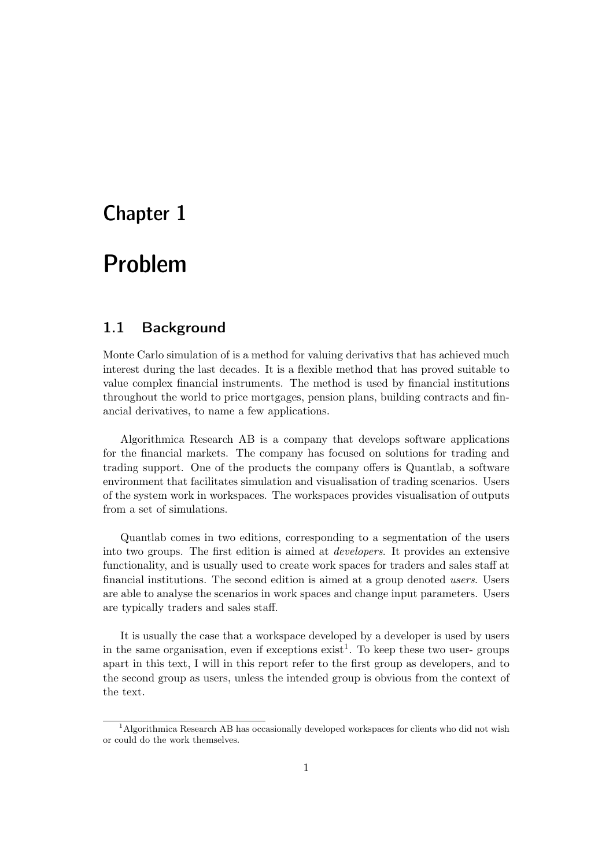# Chapter 1

# Problem Problem

# 1.1 Background

Monte Carlo simulation of is a method for valuing derivativs that has achieved much interest during the last decades. It is a flexible method that has proved suitable to value complex financial instruments. The method is used by financial institutions throughout the world to price mortgages, pension plans, building contracts and financial derivatives, to name a few applications.

Algorithmica Research AB is a company that develops software applications for the financial markets. The company has focused on solutions for trading and trading support. One of the products the company offers is Quantlab, a software environment that facilitates simulation and visualisation of trading scenarios. Users of the system work in workspaces. The workspaces provides visualisation of outputs from a set of simulations.

Quantlab comes in two editions,corresponding to a segmentation of the users into two groups. The first edition is aimed at *developers*. It provides an extensive functionality,and is usually used to create work spaces for traders and sales staff at financial institutions. The second edition is aimed at a group denoted *users*. Users are able to analyse the scenarios in work spaces and change input parameters. Users are typically traders and sales staff.

It is usually the case that a workspace developed by a developer is used by users in the same organisation, even if exceptions  $\text{exist}^1$ . To keep these two user-groups apart in this text, I will in this report refer to the first group as developers, and to the second group as users, unless the intended group is obvious from the context of the text.

<sup>1</sup>Algorithmica Research AB has occasionally developed workspaces for clients who did not wish or could do the work themselves.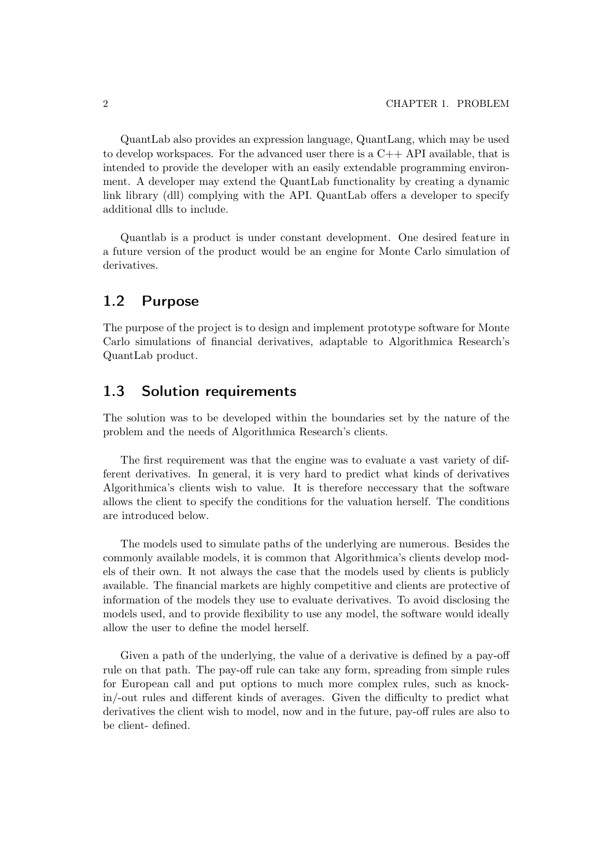QuantLab also provides an expression language,QuantLang,which may be used to develop workspaces. For the advanced user there is a  $C++$  API available, that is intended to provide the developer with an easily extendable programming environment. A developer may extend the QuantLab functionality by creating a dynamic link library (dll) complying with the API. QuantLab offers a developer to specify additional dlls to include.

Quantlab is a product is under constant development. One desired feature in a future version of the product would be an engine for Monte Carlo simulation of derivatives.

## 1.2 Purpose

The purpose of the project is to design and implement prototype software for Monte Carlo simulations of financial derivatives, adaptable to Algorithmica Research's QuantLab product.

## 1.3 Solution requirements

The solution was to be developed within the boundaries set by the nature of the problem and the needs of Algorithmica Research's clients.

The first requirement was that the engine was to evaluate a vast variety of different derivatives. In general, it is very hard to predict what kinds of derivatives Algorithmica's clients wish to value. It is therefore neccessary that the software allows the client to specify the conditions for the valuation herself. The conditions are introduced below.

The models used to simulate paths of the underlying are numerous. Besides the commonly available models, it is common that Algorithmica's clients develop models of their own. It not always the case that the models used by clients is publicly available. The financial markets are highly competitive and clients are protective of information of the models they use to evaluate derivatives. To avoid disclosing the models used, and to provide flexibility to use any model, the software would ideally allow the user to define the model herself.

Given a path of the underlying, the value of a derivative is defined by a pay-off rule on that path. The pay-off rule can take any form, spreading from simple rules for European call and put options to much more complex rules, such as knockin/-out rules and different kinds of averages. Given the difficulty to predict what derivatives the client wish to model, now and in the future, pay-off rules are also to be client- defined.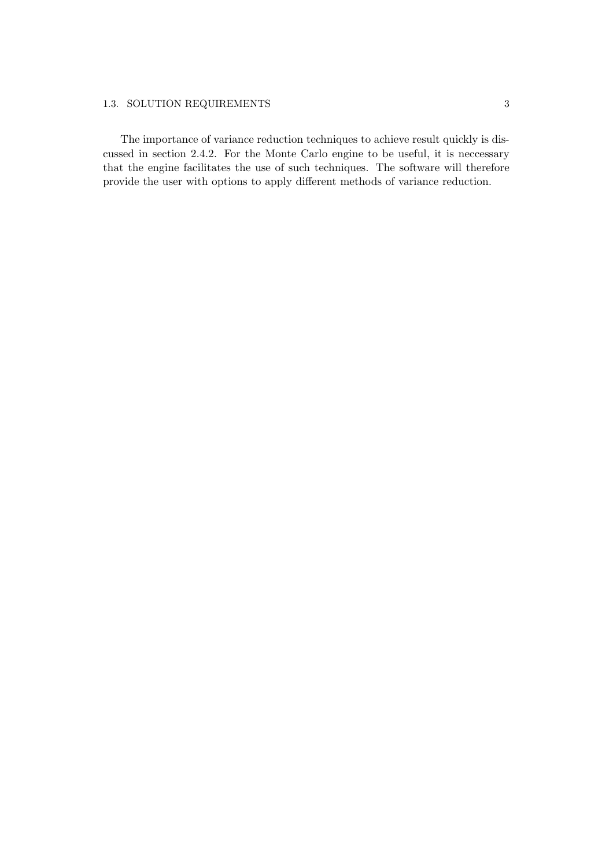#### 1.3. SOLUTION REQUIREMENTS 3

The importance of variance reduction techniques to achieve result quickly is discussed in section 2.4.2. For the Monte Carlo engine to be useful, it is neccessary that the engine facilitates the use of such techniques. The software will therefore provide the user with options to apply different methods of variance reduction.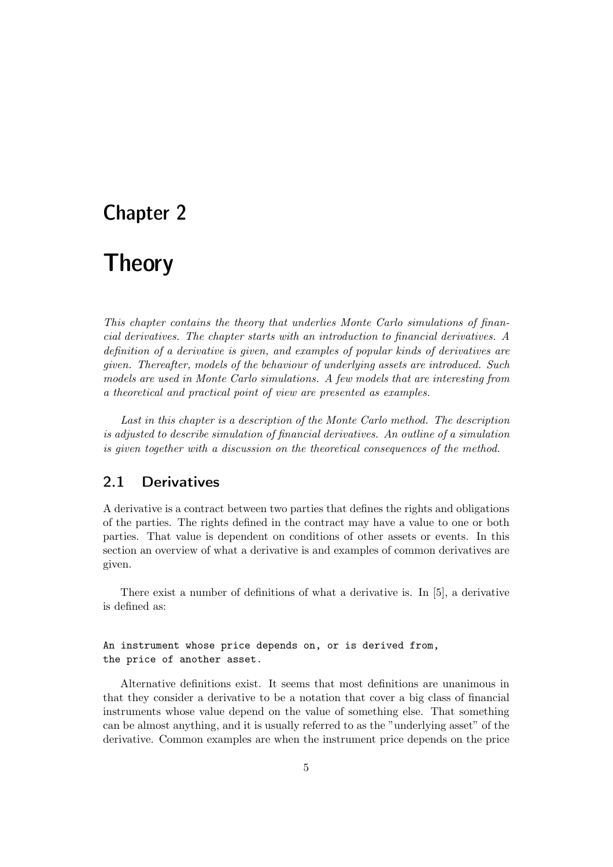# Chapter 2

# **Theory**

*This chapter contains the theory that underlies Monte Carlo simulations of financial derivatives. The chapter starts with an introduction to financial derivatives. A definition of a derivative is given, and examples of popular kinds of derivatives are given. Thereafter, models of the behaviour of underlying assets are introduced. Such models are used in Monte Carlo simulations. A few models that are interesting from a theoretical and practical point of view are presented as examples.*

*Last in this chapter is a description of the Monte Carlo method. The description is adjusted to describe simulation of financial derivatives. An outline of a simulation is given together with a discussion on the theoretical consequences of the method.*

## 2.1 Derivatives

A derivative is a contract between two parties that defines the rights and obligations of the parties. The rights defined in the contract may have a value to one or both parties. That value is dependent on conditions of other assets or events. In this section an overview of what a derivative is and examples of common derivatives are given.

There exist a number of definitions of what a derivative is. In  $[5]$ , a derivative is defined as:

An instrument whose price depends on, or is derived from, the price of another asset.

Alternative definitions exist. It seems that most definitions are unanimous in that they consider a derivative to be a notation that cover a big class of financial instruments whose value depend on the value of something else. That something can be almost anything, and it is usually referred to as the "underlying asset" of the derivative. Common examples are when the instrument price depends on the price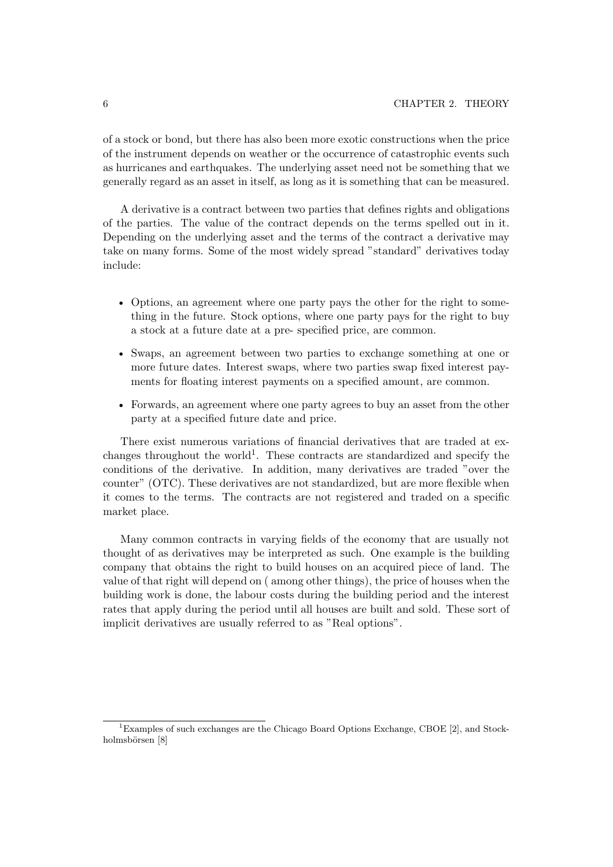of a stock or bond, but there has also been more exotic constructions when the price of the instrument depends on weather or the occurrence of catastrophic events such as hurricanes and earthquakes. The underlying asset need not be something that we generally regard as an asset in itself, as long as it is something that can be measured.

A derivative is a contract between two parties that defines rights and obligations of the parties. The value of the contract depends on the terms spelled out in it. Depending on the underlying asset and the terms of the contract a derivative may take on many forms. Some of the most widely spread "standard" derivatives today include:

- Options, an agreement where one party pays the other for the right to something in the future. Stock options,where one party pays for the right to buy a stock at a future date at a pre-specified price, are common.
- Swaps, an agreement between two parties to exchange something at one or more future dates. Interest swaps, where two parties swap fixed interest payments for floating interest payments on a specified amount, are common.
- Forwards, an agreement where one party agrees to buy an asset from the other party at a specified future date and price.

There exist numerous variations of financial derivatives that are traded at exchanges throughout the world<sup>1</sup>. These contracts are standardized and specify the conditions of the derivative. In addition, many derivatives are traded "over the counter" (OTC). These derivatives are not standardized, but are more flexible when it comes to the terms. The contracts are not registered and traded on a specific market place.

Many common contracts in varying fields of the economy that are usually not thought of as derivatives may be interpreted as such. One example is the building company that obtains the right to build houses on an acquired piece of land. The value of that right will depend on (among other things), the price of houses when the building work is done, the labour costs during the building period and the interest rates that apply during the period until all houses are built and sold. These sort of implicit derivatives are usually referred to as "Real options".

<sup>1</sup>Examples of such exchanges are the Chicago Board Options Exchange, CBOE [2], and Stockholmsbörsen [8]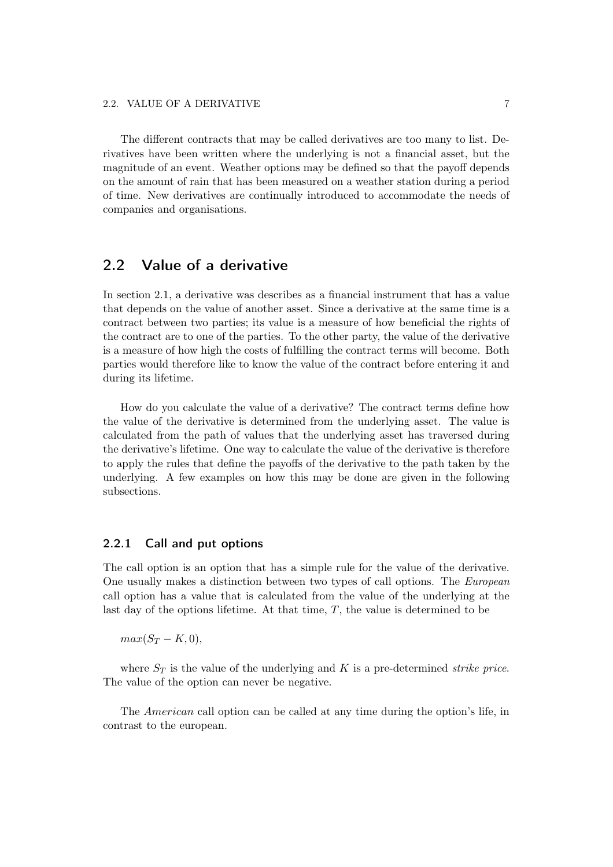The different contracts that may be called derivatives are too many to list. Derivatives have been written where the underlying is not a financial asset, but the magnitude of an event. Weather options may be defined so that the payoff depends on the amount of rain that has been measured on a weather station during a period of time. New derivatives are continually introduced to accommodate the needs of companies and organisations.

## 2.2 Value of a derivative

In section 2.1, a derivative was describes as a financial instrument that has a value that depends on the value of another asset. Since a derivative at the same time is a contract between two parties; its value is a measure of how beneficial the rights of the contract are to one of the parties. To the other party, the value of the derivative is a measure of how high the costs of fulfilling the contract terms will become. Both parties would therefore like to know the value of the contract before entering it and during its lifetime.

How do you calculate the value of a derivative? The contract terms define how the value of the derivative is determined from the underlying asset. The value is calculated from the path of values that the underlying asset has traversed during the derivative's lifetime. One way to calculate the value of the derivative is therefore to apply the rules that define the payoffs of the derivative to the path taken by the underlying. A few examples on how this may be done are given in the following subsections.

#### 2.2.1 Call and put options

The call option is an option that has a simple rule for the value of the derivative. One usually makes a distinction between two types of call options. The *European* call option has a value that is calculated from the value of the underlying at the last day of the options lifetime. At that time,  $T$ , the value is determined to be

 $max(S_T - K, 0),$ 

where  $S_T$  is the value of the underlying and K is a pre-determined *strike price*. The value of the option can never be negative.

The *American* call option can be called at any time during the option's life, in contrast to the european.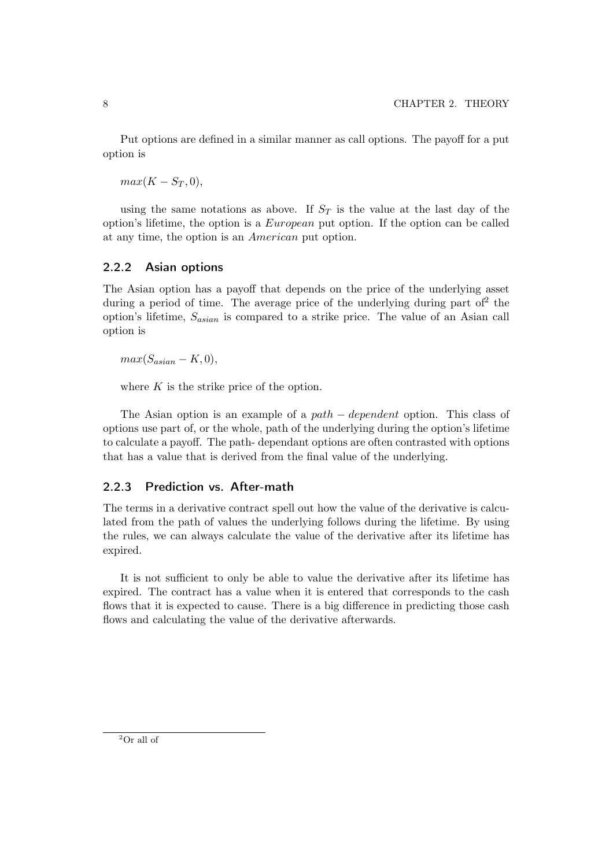Put options are defined in a similar manner as call options. The payoff for a put option is

 $max(K-S_T,0),$ 

using the same notations as above. If  $S_T$  is the value at the last day of the option's lifetime, the option is a  $European$  put option. If the option can be called at any time, the option is an *American* put option.

#### 2.2.2 Asian options

The Asian option has a payoff that depends on the price of the underlying asset during a period of time. The average price of the underlying during part of  $2$  the option's lifetime,  $S_{asian}$  is compared to a strike price. The value of an Asian call option is

 $max(S_{asian} - K, 0),$ 

where  $K$  is the strike price of the option.

The Asian option is an example of a path  $-$  dependent option. This class of options use part of, or the whole, path of the underlying during the option's lifetime to calculate a payoff. The path- dependant options are often contrasted with options that has a value that is derived from the final value of the underlying.

#### 2.2.3 Prediction vs. After-math

The terms in a derivative contract spell out how the value of the derivative is calculated from the path of values the underlying follows during the lifetime. By using the rules, we can always calculate the value of the derivative after its lifetime has expired.

It is not sufficient to only be able to value the derivative after its lifetime has expired. The contract has a value when it is entered that corresponds to the cash flows that it is expected to cause. There is a big difference in predicting those cash flows and calculating the value of the derivative afterwards.

<sup>2</sup>Or all of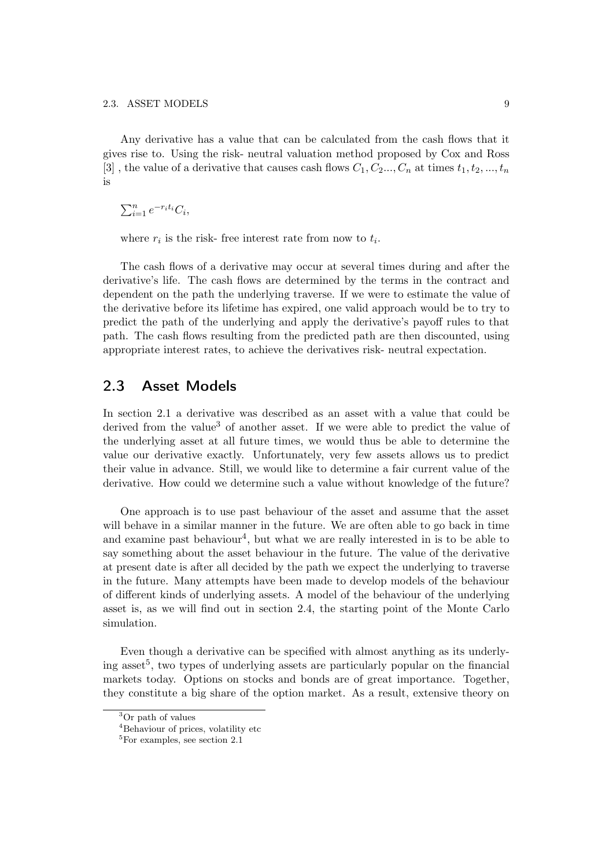Any derivative has a value that can be calculated from the cash flows that it gives rise to. Using the risk- neutral valuation method proposed by Cox and Ross [3], the value of a derivative that causes cash flows  $C_1, C_2, ..., C_n$  at times  $t_1, t_2, ..., t_n$ is

 $\sum_{i=1}^n e^{-r_i t_i} C_i,$ 

where  $r_i$  is the risk- free interest rate from now to  $t_i$ .

The cash flows of a derivative may occur at several times during and after the derivative's life. The cash flows are determined by the terms in the contract and dependent on the path the underlying traverse. If we were to estimate the value of the derivative before its lifetime has expired, one valid approach would be to try to predict the path of the underlying and apply the derivative's payoff rules to that path. The cash flows resulting from the predicted path are then discounted, using appropriate interest rates, to achieve the derivatives risk- neutral expectation.

### 2.3 Asset Models

In section 2.1 a derivative was described as an asset with a value that could be derived from the value<sup>3</sup> of another asset. If we were able to predict the value of the underlying asset at all future times, we would thus be able to determine the value our derivative exactly. Unfortunately, very few assets allows us to predict their value in advance. Still, we would like to determine a fair current value of the derivative. How could we determine such a value without knowledge of the future?

One approach is to use past behaviour of the asset and assume that the asset will behave in a similar manner in the future. We are often able to go back in time and examine past behaviour<sup>4</sup>, but what we are really interested in is to be able to say something about the asset behaviour in the future. The value of the derivative at present date is after all decided by the path we expect the underlying to traverse in the future. Many attempts have been made to develop models of the behaviour of different kinds of underlying assets. A model of the behaviour of the underlying asset is, as we will find out in section 2.4, the starting point of the Monte Carlo simulation.

Even though a derivative can be specified with almost anything as its underlying asset<sup>5</sup>, two types of underlying assets are particularly popular on the financial markets today. Options on stocks and bonds are of great importance. Together, they constitute a big share of the option market. As a result, extensive theory on

<sup>&</sup>lt;sup>3</sup>Or path of values

<sup>4</sup>Behaviour of prices, volatility etc

 ${}^{5}$ For examples, see section 2.1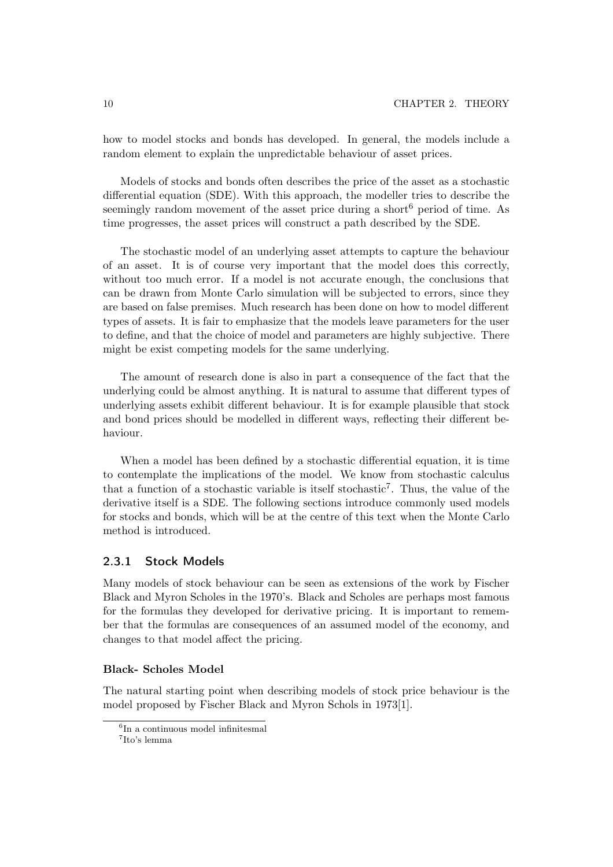how to model stocks and bonds has developed. In general, the models include a random element to explain the unpredictable behaviour of asset prices.

Models of stocks and bonds often describes the price of the asset as a stochastic differential equation (SDE). With this approach, the modeller tries to describe the seemingly random movement of the asset price during a short<sup>6</sup> period of time. As time progresses, the asset prices will construct a path described by the SDE.

The stochastic model of an underlying asset attempts to capture the behaviour of an asset. It is of course very important that the model does this correctly, without too much error. If a model is not accurate enough, the conclusions that can be drawn from Monte Carlo simulation will be subjected to errors, since they are based on false premises. Much research has been done on how to model different types of assets. It is fair to emphasize that the models leave parameters for the user to define, and that the choice of model and parameters are highly subjective. There might be exist competing models for the same underlying.

The amount of research done is also in part a consequence of the fact that the underlying could be almost anything. It is natural to assume that different types of underlying assets exhibit different behaviour. It is for example plausible that stock and bond prices should be modelled in different ways, reflecting their different behaviour.

When a model has been defined by a stochastic differential equation, it is time to contemplate the implications of the model. We know from stochastic calculus that a function of a stochastic variable is itself stochastic<sup>7</sup>. Thus, the value of the derivative itself is a SDE. The following sections introduce commonly used models for stocks and bonds,which will be at the centre of this text when the Monte Carlo method is introduced.

#### 2.3.1 Stock Models

Many models of stock behaviour can be seen as extensions of the work by Fischer Black and Myron Scholes in the 1970's. Black and Scholes are perhaps most famous for the formulas they developed for derivative pricing. It is important to remember that the formulas are consequences of an assumed model of the economy, and changes to that model affect the pricing.

#### **Black- Scholes Model**

The natural starting point when describing models of stock price behaviour is the model proposed by Fischer Black and Myron Schols in 1973[1].

 ${}^{6}$ In a continuous model infinitesmal

<sup>7</sup>Ito's lemma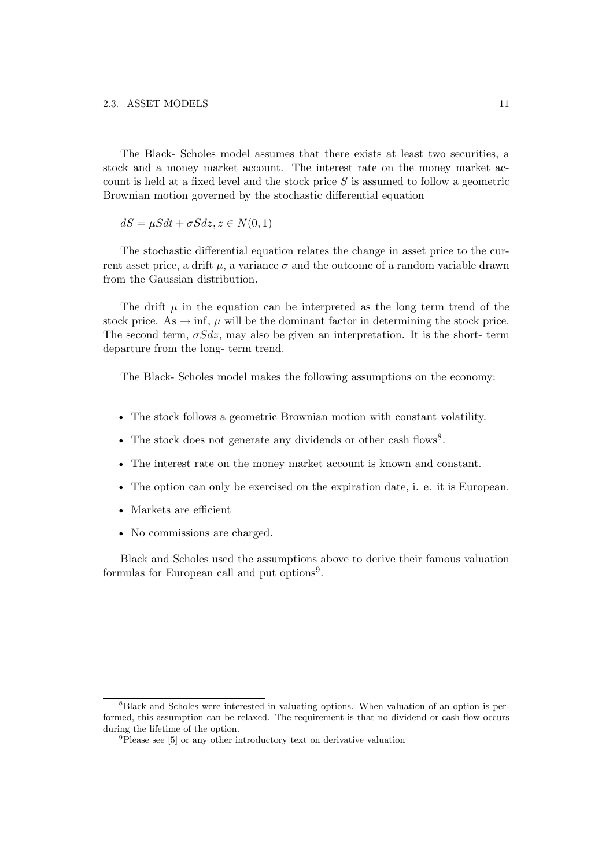The Black- Scholes model assumes that there exists at least two securities, a stock and a money market account. The interest rate on the money market account is held at a fixed level and the stock price  $S$  is assumed to follow a geometric Brownian motion governed by the stochastic differential equation

 $dS = \mu S dt + \sigma S dz$ ,  $z \in N(0, 1)$ 

The stochastic differential equation relates the change in asset price to the current asset price, a drift  $\mu$ , a variance  $\sigma$  and the outcome of a random variable drawn from the Gaussian distribution.

The drift  $\mu$  in the equation can be interpreted as the long term trend of the stock price. As  $\rightarrow$  inf,  $\mu$  will be the dominant factor in determining the stock price. The second term,  $\sigma S dz$ , may also be given an interpretation. It is the short- term departure from the long- term trend.

The Black- Scholes model makes the following assumptions on the economy:

- The stock follows a geometric Brownian motion with constant volatility.
- The stock does not generate any dividends or other cash flows<sup>8</sup>.
- The interest rate on the money market account is known and constant.
- The option can only be exercised on the expiration date, i. e. it is European.
- Markets are efficient
- No commissions are charged.

Black and Scholes used the assumptions above to derive their famous valuation formulas for European call and put options<sup>9</sup>.

<sup>8</sup>Black and Scholes were interested in valuating options. When valuation of an option is performed, this assumption can be relaxed. The requirement is that no dividend or cash flow occurs during the lifetime of the option.

<sup>9</sup>Please see [5] or any other introductory text on derivative valuation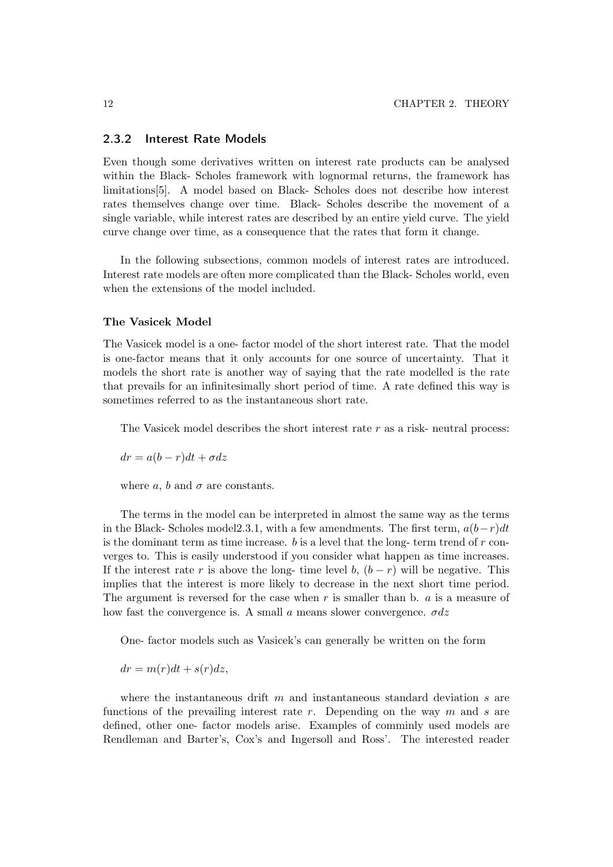#### 2.3.2 Interest Rate Models

Even though some derivatives written on interest rate products can be analysed within the Black- Scholes framework with lognormal returns, the framework has limitations[5]. A model based on Black- Scholes does not describe how interest rates themselves change over time. Black- Scholes describe the movement of a single variable, while interest rates are described by an entire yield curve. The yield curve change over time, as a consequence that the rates that form it change.

In the following subsections, common models of interest rates are introduced. Interest rate models are often more complicated than the Black-Scholes world, even when the extensions of the model included.

#### **The Vasicek Model**

The Vasicek model is a one- factor model of the short interest rate. That the model is one-factor means that it only accounts for one source of uncertainty. That it models the short rate is another way of saying that the rate modelled is the rate that prevails for an infinitesimally short period of time. A rate defined this way is sometimes referred to as the instantaneous short rate.

The Vasicek model describes the short interest rate  $r$  as a risk- neutral process:

 $dr = a(b - r)dt + \sigma dz$ 

where a, b and  $\sigma$  are constants.

The terms in the model can be interpreted in almost the same way as the terms in the Black- Scholes model2.3.1, with a few amendments. The first term,  $a(b-r)dt$ is the dominant term as time increase.  $b$  is a level that the long- term trend of  $r$  converges to. This is easily understood if you consider what happen as time increases. If the interest rate r is above the long- time level b,  $(b - r)$  will be negative. This implies that the interest is more likely to decrease in the next short time period. The argument is reversed for the case when  $r$  is smaller than b.  $a$  is a measure of how fast the convergence is. A small a means slower convergence.  $\sigma dz$ 

One- factor models such as Vasicek's can generally be written on the form

 $dr = m(r)dt + s(r)dz,$ 

where the instantaneous drift m and instantaneous standard deviation s are functions of the prevailing interest rate r. Depending on the way  $m$  and  $s$  are defined, other one- factor models arise. Examples of comminly used models are Rendleman and Barter's, Cox's and Ingersoll and Ross'. The interested reader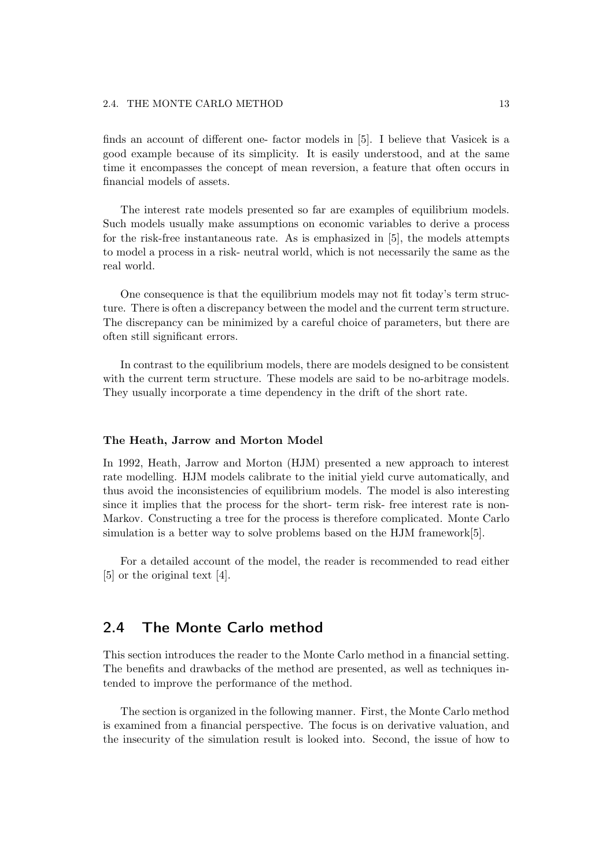finds an account of different one- factor models in [5]. I believe that Vasicek is a good example because of its simplicity. It is easily understood,and at the same time it encompasses the concept of mean reversion, a feature that often occurs in financial models of assets.

The interest rate models presented so far are examples of equilibrium models. Such models usually make assumptions on economic variables to derive a process for the risk-free instantaneous rate. As is emphasized in  $[5]$ , the models attempts to model a process in a risk- neutral world,which is not necessarily the same as the real world.

One consequence is that the equilibrium models may not fit today's term structure. There is often a discrepancy between the model and the current term structure. The discrepancy can be minimized by a careful choice of parameters, but there are often still significant errors.

In contrast to the equilibrium models, there are models designed to be consistent with the current term structure. These models are said to be no-arbitrage models. They usually incorporate a time dependency in the drift of the short rate.

#### **The Heath, Jarrow and Morton Model**

In 1992, Heath, Jarrow and Morton (HJM) presented a new approach to interest rate modelling. HJM models calibrate to the initial yield curve automatically, and thus avoid the inconsistencies of equilibrium models. The model is also interesting since it implies that the process for the short- term risk- free interest rate is non-Markov. Constructing a tree for the process is therefore complicated. Monte Carlo simulation is a better way to solve problems based on the HJM framework[5].

For a detailed account of the model, the reader is recommended to read either [5] or the original text [4].

## 2.4 The Monte Carlo method

This section introduces the reader to the Monte Carlo method in a financial setting. The benefits and drawbacks of the method are presented, as well as techniques intended to improve the performance of the method.

The section is organized in the following manner. First, the Monte Carlo method is examined from a financial perspective. The focus is on derivative valuation, and the insecurity of the simulation result is looked into. Second, the issue of how to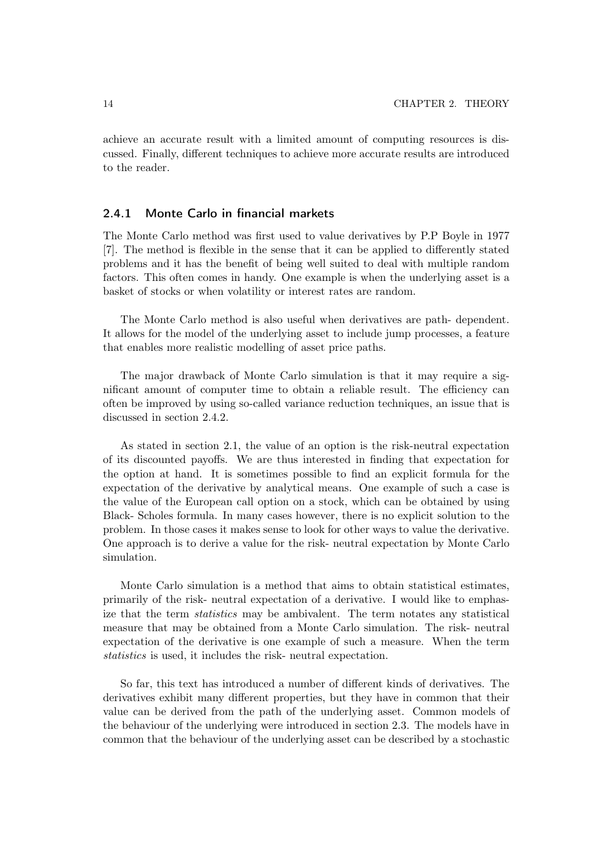achieve an accurate result with a limited amount of computing resources is discussed. Finally,different techniques to achieve more accurate results are introduced to the reader.

#### 2.4.1 Monte Carlo in financial markets

The Monte Carlo method was first used to value derivatives by P.P Boyle in 1977 [7]. The method is flexible in the sense that it can be applied to differently stated problems and it has the benefit of being well suited to deal with multiple random factors. This often comes in handy. One example is when the underlying asset is a basket of stocks or when volatility or interest rates are random.

The Monte Carlo method is also useful when derivatives are path- dependent. It allows for the model of the underlying asset to include jump processes, a feature that enables more realistic modelling of asset price paths.

The major drawback of Monte Carlo simulation is that it may require a significant amount of computer time to obtain a reliable result. The efficiency can often be improved by using so-called variance reduction techniques, an issue that is discussed in section 2.4.2.

As stated in section 2.1, the value of an option is the risk-neutral expectation of its discounted payoffs. We are thus interested in finding that expectation for the option at hand. It is sometimes possible to find an explicit formula for the expectation of the derivative by analytical means. One example of such a case is the value of the European call option on a stock, which can be obtained by using Black- Scholes formula. In many cases however, there is no explicit solution to the problem. In those cases it makes sense to look for other ways to value the derivative. One approach is to derive a value for the risk- neutral expectation by Monte Carlo simulation.

Monte Carlo simulation is a method that aims to obtain statistical estimates, primarily of the risk- neutral expectation of a derivative. I would like to emphasize that the term *statistics* may be ambivalent. The term notates any statistical measure that may be obtained from a Monte Carlo simulation. The risk- neutral expectation of the derivative is one example of such a measure. When the term *statistics* is used, it includes the risk- neutral expectation.

So far, this text has introduced a number of different kinds of derivatives. The derivatives exhibit many different properties, but they have in common that their value can be derived from the path of the underlying asset. Common models of the behaviour of the underlying were introduced in section 2.3. The models have in common that the behaviour of the underlying asset can be described by a stochastic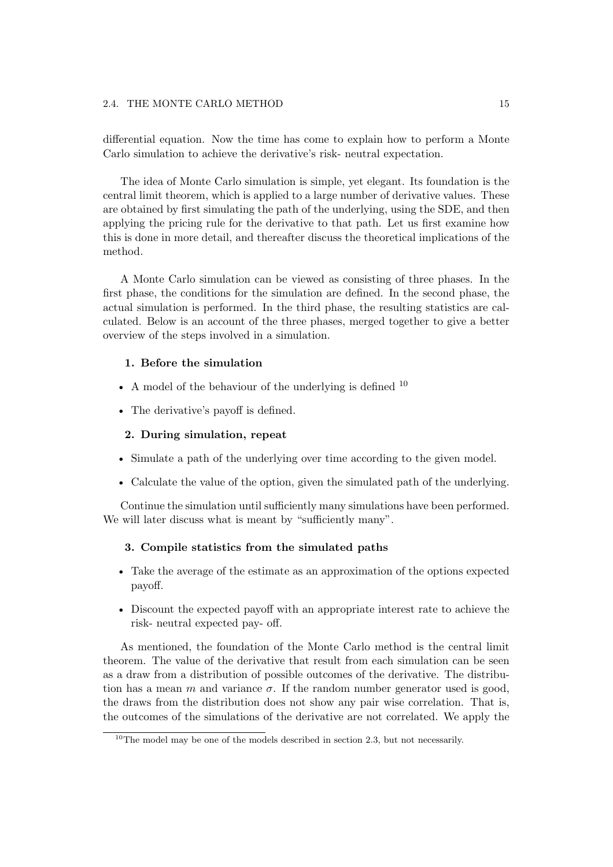differential equation. Now the time has come to explain how to perform a Monte Carlo simulation to achieve the derivative's risk- neutral expectation.

The idea of Monte Carlo simulation is simple, yet elegant. Its foundation is the central limit theorem, which is applied to a large number of derivative values. These are obtained by first simulating the path of the underlying, using the SDE, and then applying the pricing rule for the derivative to that path. Let us first examine how this is done in more detail,and thereafter discuss the theoretical implications of the method.

A Monte Carlo simulation can be viewed as consisting of three phases. In the first phase, the conditions for the simulation are defined. In the second phase, the actual simulation is performed. In the third phase, the resulting statistics are calculated. Below is an account of the three phases, merged together to give a better overview of the steps involved in a simulation.

#### **1. Before the simulation**

- A model of the behaviour of the underlying is defined  $10$
- The derivative's payoff is defined.

#### **2. During simulation, repeat**

- Simulate a path of the underlying over time according to the given model.
- Calculate the value of the option, given the simulated path of the underlying.

Continue the simulation until sufficiently many simulations have been performed. We will later discuss what is meant by "sufficiently many".

#### **3. Compile statistics from the simulated paths**

- Take the average of the estimate as an approximation of the options expected payoff.
- Discount the expected payoff with an appropriate interest rate to achieve the risk- neutral expected pay- off.

As mentioned, the foundation of the Monte Carlo method is the central limit theorem. The value of the derivative that result from each simulation can be seen as a draw from a distribution of possible outcomes of the derivative. The distribution has a mean m and variance  $\sigma$ . If the random number generator used is good, the draws from the distribution does not show any pair wise correlation. That is, the outcomes of the simulations of the derivative are not correlated. We apply the

 $10$ The model may be one of the models described in section 2.3, but not necessarily.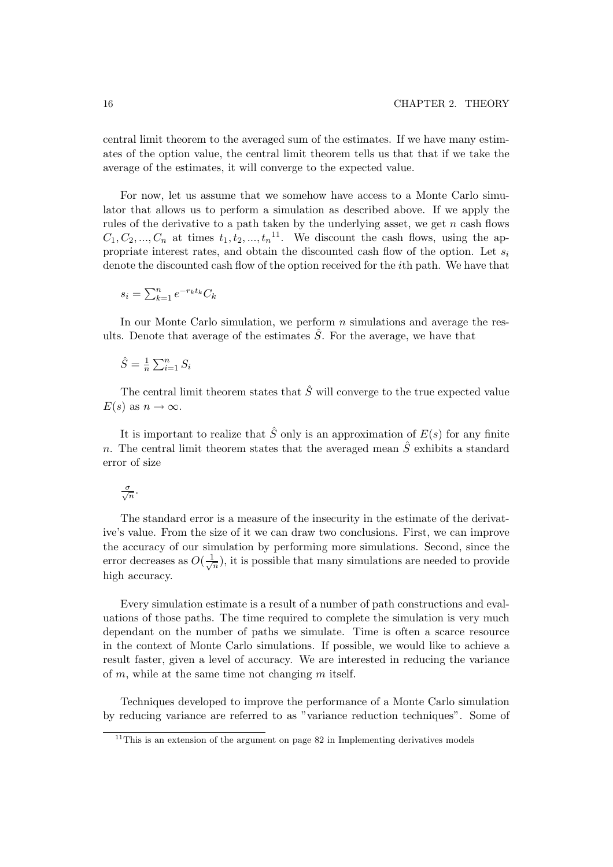central limit theorem to the averaged sum of the estimates. If we have many estimates of the option value, the central limit theorem tells us that that if we take the average of the estimates, it will converge to the expected value.

For now, let us assume that we somehow have access to a Monte Carlo simulator that allows us to perform a simulation as described above. If we apply the rules of the derivative to a path taken by the underlying asset, we get  $n$  cash flows  $C_1, C_2, ..., C_n$  at times  $t_1, t_2, ..., t_n$ <sup>11</sup>. We discount the cash flows, using the appropriate interest rates, and obtain the discounted cash flow of the option. Let  $s_i$ denote the discounted cash flow of the option received for the ith path. We have that

$$
s_i = \sum_{k=1}^n e^{-r_k t_k} C_k
$$

In our Monte Carlo simulation, we perform  $n$  simulations and average the results. Denote that average of the estimates  $\hat{S}$ . For the average, we have that

$$
\hat{S} = \frac{1}{n} \sum_{i=1}^{n} S_i
$$

The central limit theorem states that  $\hat{S}$  will converge to the true expected value  $E(s)$  as  $n \to \infty$ .

It is important to realize that  $\hat{S}$  only is an approximation of  $E(s)$  for any finite n. The central limit theorem states that the averaged mean  $\hat{S}$  exhibits a standard error of size

$$
\frac{\sigma}{\sqrt{n}}.
$$

The standard error is a measure of the insecurity in the estimate of the derivative's value. From the size of it we can draw two conclusions. First, we can improve the accuracy of our simulation by performing more simulations. Second, since the error decreases as  $O(\frac{1}{\sqrt{n}})$ , it is possible that many simulations are needed to provide<br>high accuracy high accuracy.

Every simulation estimate is a result of a number of path constructions and evaluations of those paths. The time required to complete the simulation is very much dependant on the number of paths we simulate. Time is often a scarce resource in the context of Monte Carlo simulations. If possible, we would like to achieve a result faster, given a level of accuracy. We are interested in reducing the variance of m, while at the same time not changing m itself.

Techniques developed to improve the performance of a Monte Carlo simulation by reducing variance are referred to as "variance reduction techniques". Some of

<sup>&</sup>lt;sup>11</sup>This is an extension of the argument on page  $82$  in Implementing derivatives models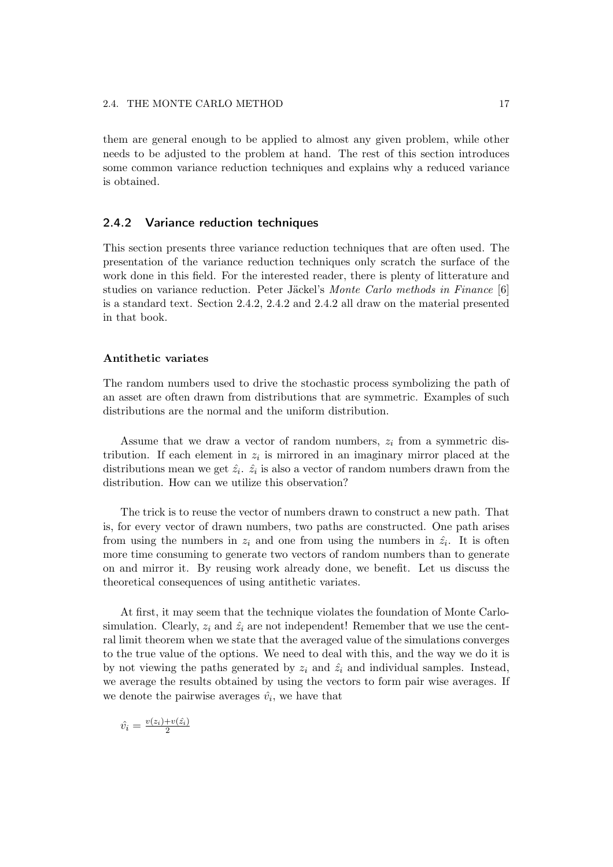them are general enough to be applied to almost any given problem, while other needs to be adjusted to the problem at hand. The rest of this section introduces some common variance reduction techniques and explains why a reduced variance is obtained.

#### 2.4.2 Variance reduction techniques

This section presents three variance reduction techniques that are often used. The presentation of the variance reduction techniques only scratch the surface of the work done in this field. For the interested reader, there is plenty of litterature and studies on variance reduction. Peter Jäckel's *Monte Carlo methods in Finance* [6] is a standard text. Section 2.4.2,2.4.2 and 2.4.2 all draw on the material presented in that book.

#### **Antithetic variates**

The random numbers used to drive the stochastic process symbolizing the path of an asset are often drawn from distributions that are symmetric. Examples of such distributions are the normal and the uniform distribution.

Assume that we draw a vector of random numbers,  $z_i$  from a symmetric distribution. If each element in  $z_i$  is mirrored in an imaginary mirror placed at the distributions mean we get  $\hat{z}_i$ .  $\hat{z}_i$  is also a vector of random numbers drawn from the distribution. How can we utilize this observation?

The trick is to reuse the vector of numbers drawn to construct a new path. That is, for every vector of drawn numbers, two paths are constructed. One path arises from using the numbers in  $z_i$  and one from using the numbers in  $\hat{z}_i$ . It is often more time consuming to generate two vectors of random numbers than to generate on and mirror it. By reusing work already done,we benefit. Let us discuss the theoretical consequences of using antithetic variates.

At first, it may seem that the technique violates the foundation of Monte Carlosimulation. Clearly,  $z_i$  and  $\hat{z_i}$  are not independent! Remember that we use the central limit theorem when we state that the averaged value of the simulations converges to the true value of the options. We need to deal with this, and the way we do it is by not viewing the paths generated by  $z_i$  and  $\hat{z}_i$  and individual samples. Instead, we average the results obtained by using the vectors to form pair wise averages. If we denote the pairwise averages  $\hat{v}_i$ , we have that

$$
\hat{v}_i = \frac{v(z_i) + v(\hat{z}_i)}{2}
$$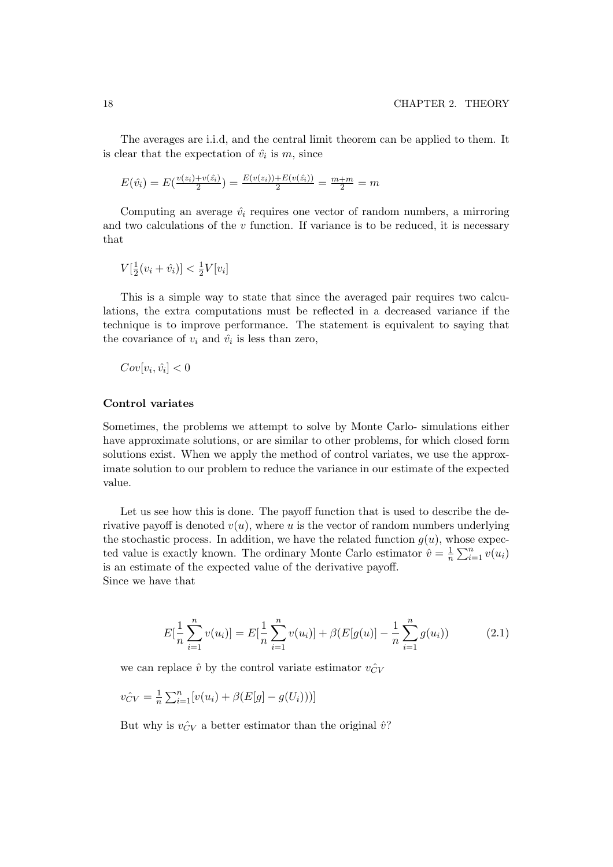The averages are i.i.d, and the central limit theorem can be applied to them. It is clear that the expectation of  $\hat{v}_i$  is m, since

 $E(\hat{v}_i) = E(\frac{v(z_i) + v(\hat{z}_i)}{2}) = \frac{E(v(z_i)) + E(v(\hat{z}_i))}{2} = \frac{m+m}{2} = m$ 

Computing an average  $\hat{v}_i$  requires one vector of random numbers, a mirroring and two calculations of the  $v$  function. If variance is to be reduced, it is necessary that

$$
V\left[\frac{1}{2}(v_i + \hat{v}_i)\right] < \frac{1}{2}V[v_i]
$$

This is a simple way to state that since the averaged pair requires two calculations, the extra computations must be reflected in a decreased variance if the technique is to improve performance. The statement is equivalent to saying that the covariance of  $v_i$  and  $\hat{v}_i$  is less than zero,

$$
Cov[v_i, \hat{v}_i] < 0
$$

#### **Control variates**

Sometimes, the problems we attempt to solve by Monte Carlo- simulations either have approximate solutions, or are similar to other problems, for which closed form solutions exist. When we apply the method of control variates, we use the approximate solution to our problem to reduce the variance in our estimate of the expected value.

Let us see how this is done. The payoff function that is used to describe the derivative payoff is denoted  $v(u)$ , where u is the vector of random numbers underlying the stochastic process. In addition, we have the related function  $g(u)$ , whose expected value is exactly known. The ordinary Monte Carlo estimator  $\hat{v} = \frac{1}{n} \sum_{i=1}^{n} v(u_i)$ is an estimate of the expected value of the derivative payoff. Since we have that

$$
E\left[\frac{1}{n}\sum_{i=1}^{n}v(u_i)\right] = E\left[\frac{1}{n}\sum_{i=1}^{n}v(u_i)\right] + \beta(E[g(u)] - \frac{1}{n}\sum_{i=1}^{n}g(u_i))\tag{2.1}
$$

we can replace  $\hat{v}$  by the control variate estimator  $v_{CV}^{\hat{}}$ 

$$
v_{CV}^{\hat{}} = \frac{1}{n} \sum_{i=1}^{n} [v(u_i) + \beta(E[g] - g(U_i)))]
$$

But why is  $v_{CV}^{\wedge}$  a better estimator than the original  $\hat{v}$ ?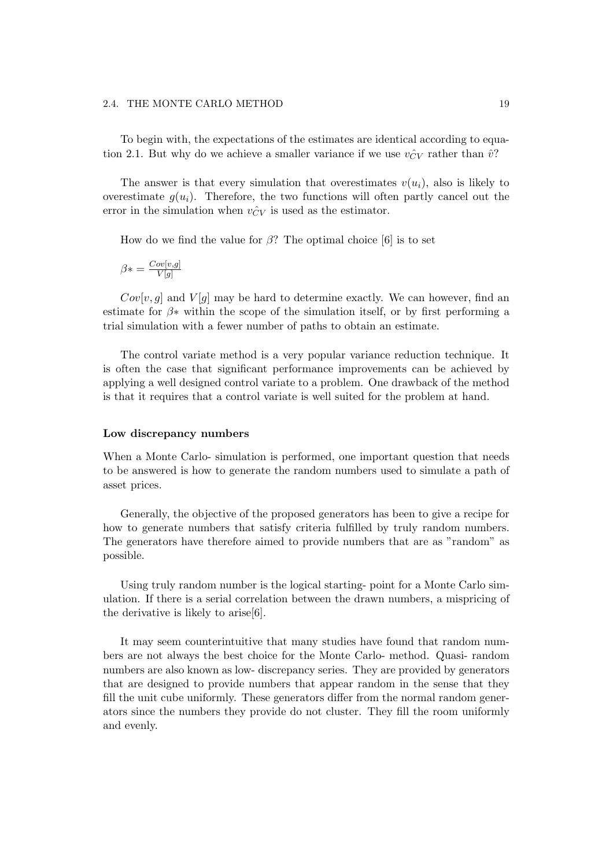#### 2.4. THE MONTE CARLO METHOD 19

To begin with, the expectations of the estimates are identical according to equation 2.1. But why do we achieve a smaller variance if we use  $v_{CV}^{\frown}$  rather than  $\hat{v}$ ?

The answer is that every simulation that overestimates  $v(u_i)$ , also is likely to overestimate  $g(u_i)$ . Therefore, the two functions will often partly cancel out the error in the simulation when  $v_{CV}^{\sim}$  is used as the estimator.

How do we find the value for  $\beta$ ? The optimal choice [6] is to set

$$
\beta* = \frac{Cov[v,g]}{V[g]}
$$

 $Cov[v, g]$  and  $V[g]$  may be hard to determine exactly. We can however, find an estimate for  $\beta$ <sup>\*</sup> within the scope of the simulation itself, or by first performing a trial simulation with a fewer number of paths to obtain an estimate.

The control variate method is a very popular variance reduction technique. It is often the case that significant performance improvements can be achieved by applying a well designed control variate to a problem. One drawback of the method is that it requires that a control variate is well suited for the problem at hand.

#### **Low discrepancy numbers**

When a Monte Carlo- simulation is performed, one important question that needs to be answered is how to generate the random numbers used to simulate a path of asset prices.

Generally, the objective of the proposed generators has been to give a recipe for how to generate numbers that satisfy criteria fulfilled by truly random numbers. The generators have therefore aimed to provide numbers that are as "random" as possible.

Using truly random number is the logical starting- point for a Monte Carlo simulation. If there is a serial correlation between the drawn numbers, a mispricing of the derivative is likely to arise[6].

It may seem counterintuitive that many studies have found that random numbers are not always the best choice for the Monte Carlo- method. Quasi- random numbers are also known as low- discrepancy series. They are provided by generators that are designed to provide numbers that appear random in the sense that they fill the unit cube uniformly. These generators differ from the normal random generators since the numbers they provide do not cluster. They fill the room uniformly and evenly.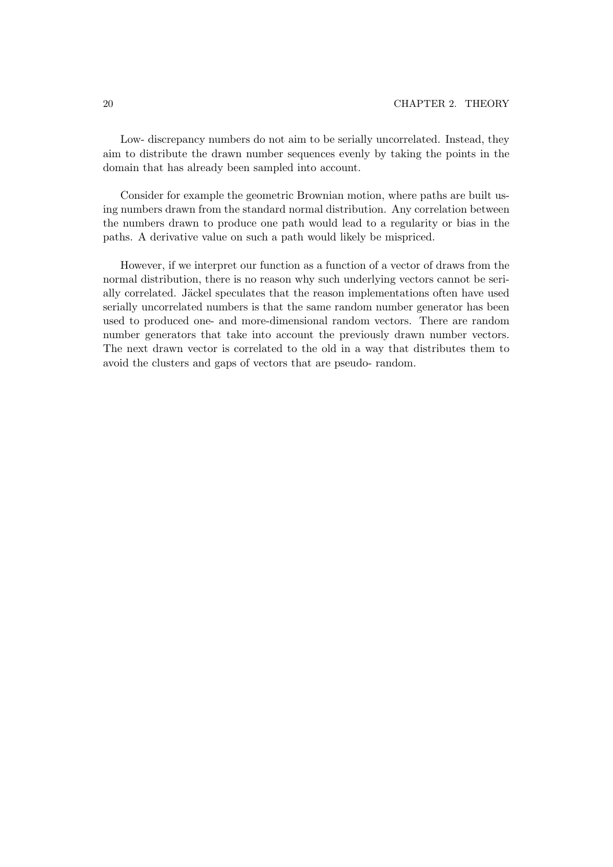Low- discrepancy numbers do not aim to be serially uncorrelated. Instead, they aim to distribute the drawn number sequences evenly by taking the points in the domain that has already been sampled into account.

Consider for example the geometric Brownian motion, where paths are built using numbers drawn from the standard normal distribution. Any correlation between the numbers drawn to produce one path would lead to a regularity or bias in the paths. A derivative value on such a path would likely be mispriced.

However, if we interpret our function as a function of a vector of draws from the normal distribution, there is no reason why such underlying vectors cannot be serially correlated. Jäckel speculates that the reason implementations often have used serially uncorrelated numbers is that the same random number generator has been used to produced one- and more-dimensional random vectors. There are random number generators that take into account the previously drawn number vectors. The next drawn vector is correlated to the old in a way that distributes them to avoid the clusters and gaps of vectors that are pseudo- random.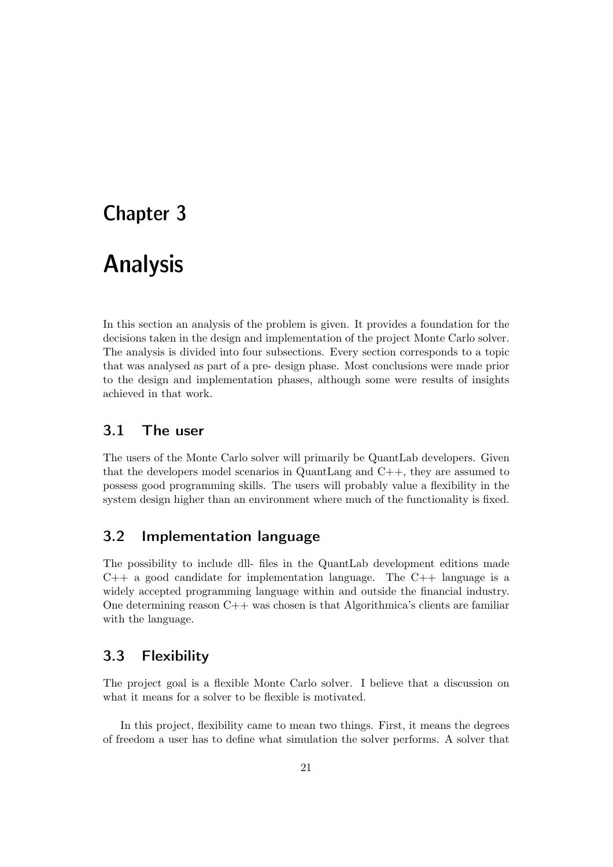# Chapter 3

# Analysis

In this section an analysis of the problem is given. It provides a foundation for the decisions taken in the design and implementation of the project Monte Carlo solver. The analysis is divided into four subsections. Every section corresponds to a topic that was analysed as part of a pre- design phase. Most conclusions were made prior to the design and implementation phases, although some were results of insights achieved in that work.

# 3.1 The user

The users of the Monte Carlo solver will primarily be QuantLab developers. Given that the developers model scenarios in QuantLang and  $C_{++}$ , they are assumed to possess good programming skills. The users will probably value a flexibility in the system design higher than an environment where much of the functionality is fixed.

# 3.2 Implementation language

The possibility to include dll- files in the QuantLab development editions made  $C++$  a good candidate for implementation language. The  $C++$  language is a widely accepted programming language within and outside the financial industry. One determining reason  $C++$  was chosen is that Algorithmica's clients are familiar with the language.

# 3.3 Flexibility

The project goal is a flexible Monte Carlo solver. I believe that a discussion on what it means for a solver to be flexible is motivated.

In this project, flexibility came to mean two things. First, it means the degrees of freedom a user has to define what simulation the solver performs. A solver that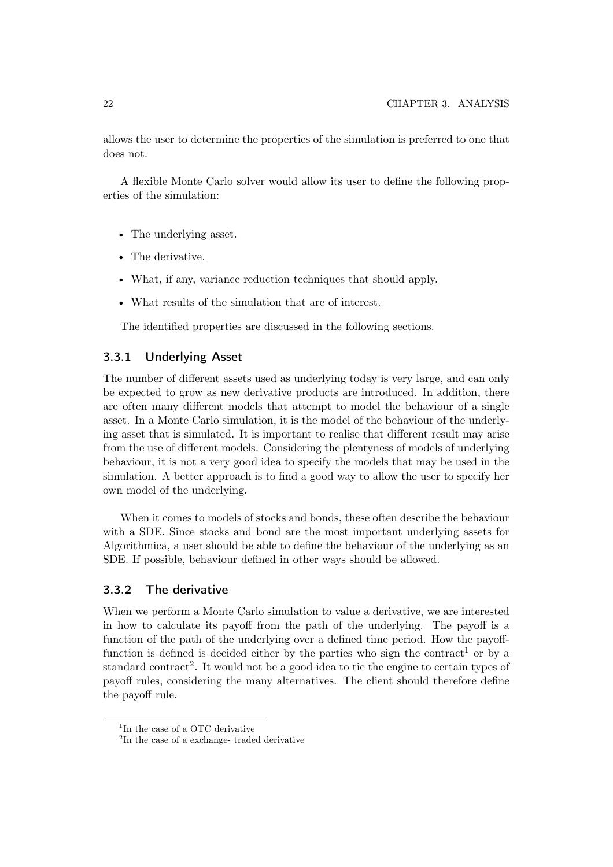allows the user to determine the properties of the simulation is preferred to one that does not.

A flexible Monte Carlo solver would allow its user to define the following properties of the simulation:

- The underlying asset.
- The derivative.
- What, if any, variance reduction techniques that should apply.
- What results of the simulation that are of interest.

The identified properties are discussed in the following sections.

#### 3.3.1 Underlying Asset

The number of different assets used as underlying today is very large, and can only be expected to grow as new derivative products are introduced. In addition, there are often many different models that attempt to model the behaviour of a single asset. In a Monte Carlo simulation, it is the model of the behaviour of the underlying asset that is simulated. It is important to realise that different result may arise from the use of different models. Considering the plentyness of models of underlying behaviour, it is not a very good idea to specify the models that may be used in the simulation. A better approach is to find a good way to allow the user to specify her own model of the underlying.

When it comes to models of stocks and bonds, these often describe the behaviour with a SDE. Since stocks and bond are the most important underlying assets for Algorithmica, a user should be able to define the behaviour of the underlying as an SDE. If possible, behaviour defined in other ways should be allowed.

#### 3.3.2 The derivative

When we perform a Monte Carlo simulation to value a derivative, we are interested in how to calculate its payoff from the path of the underlying. The payoff is a function of the path of the underlying over a defined time period. How the payofffunction is defined is decided either by the parties who sign the contract<sup>1</sup> or by a standard contract<sup>2</sup>. It would not be a good idea to tie the engine to certain types of payoff rules, considering the many alternatives. The client should therefore define the payoff rule.

 $1$ In the case of a OTC derivative

<sup>&</sup>lt;sup>2</sup>In the case of a exchange- traded derivative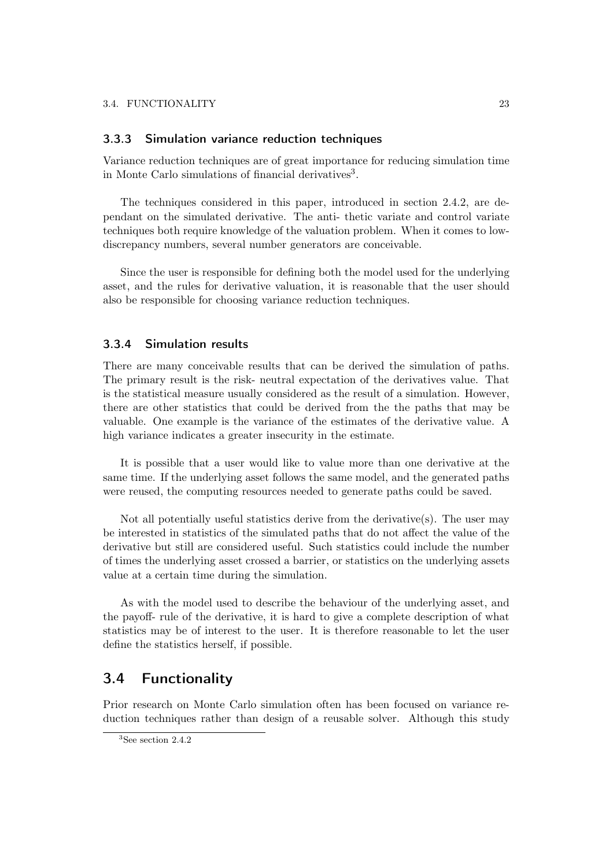#### 3.3.3 Simulation variance reduction techniques

Variance reduction techniques are of great importance for reducing simulation time in Monte Carlo simulations of financial derivatives<sup>3</sup>.

The techniques considered in this paper, introduced in section  $2.4.2$ , are dependant on the simulated derivative. The anti- thetic variate and control variate techniques both require knowledge of the valuation problem. When it comes to lowdiscrepancy numbers, several number generators are conceivable.

Since the user is responsible for defining both the model used for the underlying asset, and the rules for derivative valuation, it is reasonable that the user should also be responsible for choosing variance reduction techniques.

#### 3.3.4 Simulation results

There are many conceivable results that can be derived the simulation of paths. The primary result is the risk- neutral expectation of the derivatives value. That is the statistical measure usually considered as the result of a simulation. However, there are other statistics that could be derived from the the paths that may be valuable. One example is the variance of the estimates of the derivative value. A high variance indicates a greater insecurity in the estimate.

It is possible that a user would like to value more than one derivative at the same time. If the underlying asset follows the same model, and the generated paths were reused, the computing resources needed to generate paths could be saved.

Not all potentially useful statistics derive from the derivative(s). The user may be interested in statistics of the simulated paths that do not affect the value of the derivative but still are considered useful. Such statistics could include the number of times the underlying asset crossed a barrier, or statistics on the underlying assets value at a certain time during the simulation.

As with the model used to describe the behaviour of the underlying asset, and the payoff- rule of the derivative, it is hard to give a complete description of what statistics may be of interest to the user. It is therefore reasonable to let the user define the statistics herself, if possible.

## 3.4 Functionality

Prior research on Monte Carlo simulation often has been focused on variance reduction techniques rather than design of a reusable solver. Although this study

<sup>3</sup>See section 2.4.2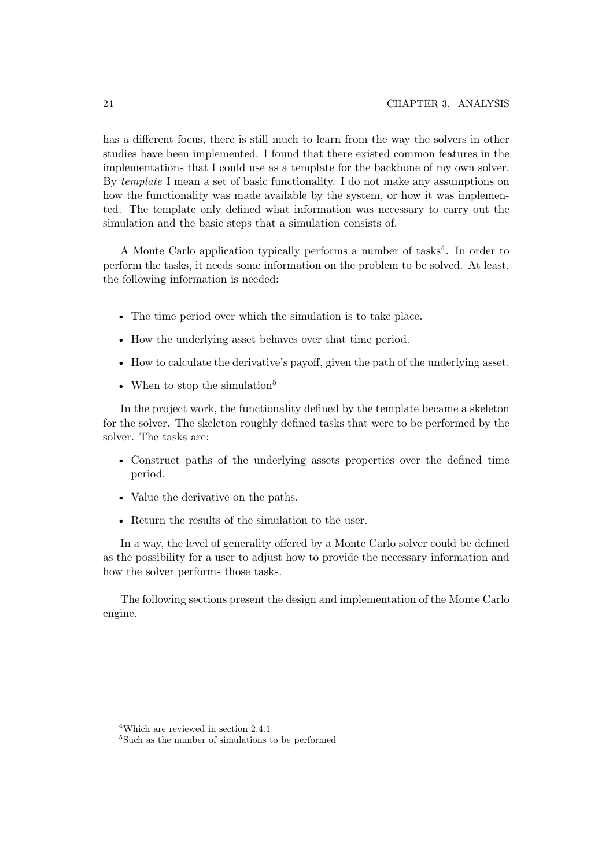has a different focus, there is still much to learn from the way the solvers in other studies have been implemented. I found that there existed common features in the implementations that I could use as a template for the backbone of my own solver. By *template* I mean a set of basic functionality. I do not make any assumptions on how the functionality was made available by the system, or how it was implemented. The template only defined what information was necessary to carry out the simulation and the basic steps that a simulation consists of.

A Monte Carlo application typically performs a number of tasks4. In order to perform the tasks,it needs some information on the problem to be solved. At least, the following information is needed:

- The time period over which the simulation is to take place.
- How the underlying asset behaves over that time period.
- How to calculate the derivative's payoff, given the path of the underlying asset.
- When to stop the simulation<sup>5</sup>

In the project work, the functionality defined by the template became a skeleton for the solver. The skeleton roughly defined tasks that were to be performed by the solver. The tasks are:

- Construct paths of the underlying assets properties over the defined time period.
- Value the derivative on the paths.
- Return the results of the simulation to the user.

In a way, the level of generality offered by a Monte Carlo solver could be defined as the possibility for a user to adjust how to provide the necessary information and how the solver performs those tasks.

The following sections present the design and implementation of the Monte Carlo engine.

<sup>4</sup>Which are reviewed in section 2.4.1

<sup>5</sup>Such as the number of simulations to be performed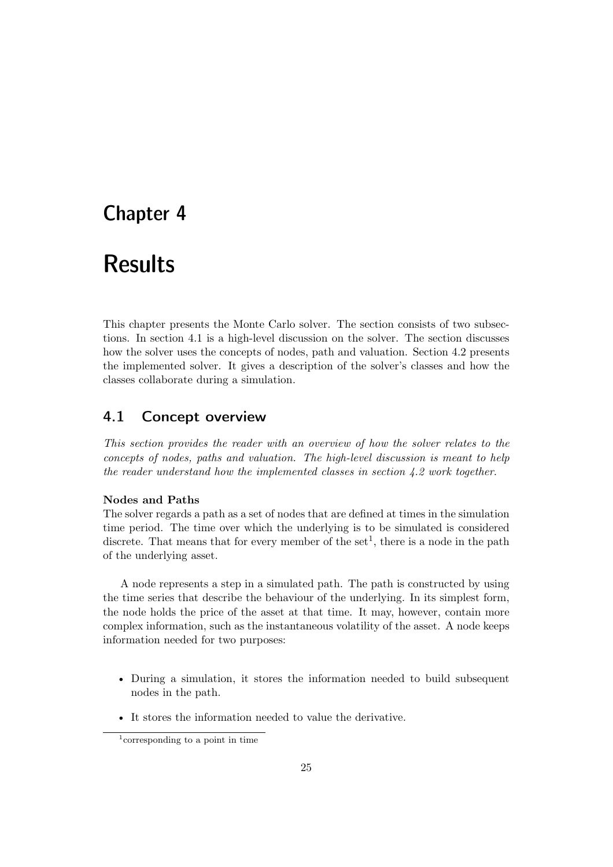# Chapter 4

# Results

This chapter presents the Monte Carlo solver. The section consists of two subsections. In section 4.1 is a high-level discussion on the solver. The section discusses how the solver uses the concepts of nodes, path and valuation. Section 4.2 presents the implemented solver. It gives a description of the solver's classes and how the classes collaborate during a simulation.

# 4.1 Concept overview

*This section provides the reader with an overview of how the solver relates to the concepts of nodes, paths and valuation. The high-level discussion is meant to help the reader understand how the implemented classes in section 4.2 work together*.

#### **Nodes and Paths**

The solver regards a path as a set of nodes that are defined at times in the simulation time period. The time over which the underlying is to be simulated is considered discrete. That means that for every member of the set<sup>1</sup>, there is a node in the path of the underlying asset.

A node represents a step in a simulated path. The path is constructed by using the time series that describe the behaviour of the underlying. In its simplest form, the node holds the price of the asset at that time. It may, however, contain more complex information, such as the instantaneous volatility of the asset. A node keeps information needed for two purposes:

- During a simulation, it stores the information needed to build subsequent nodes in the path.
- It stores the information needed to value the derivative.

<sup>1</sup>corresponding to a point in time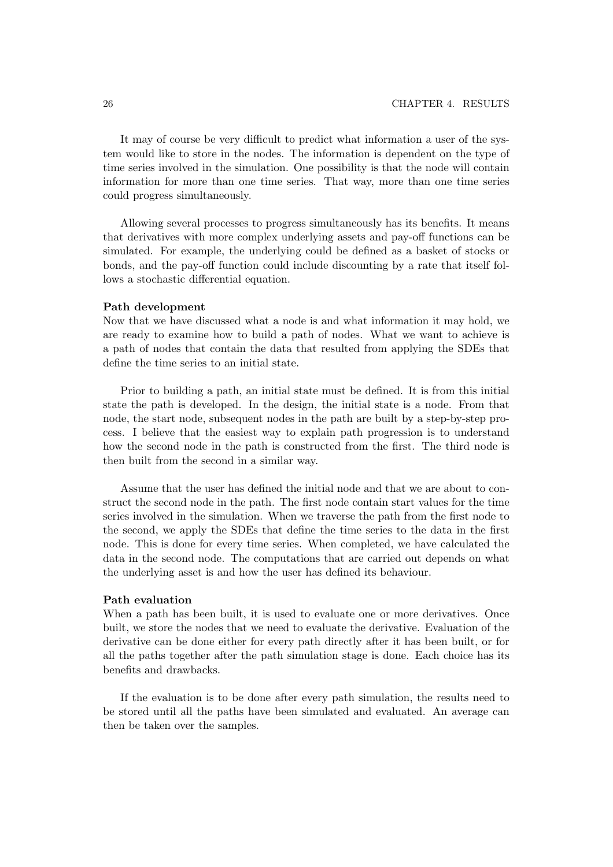It may of course be very difficult to predict what information a user of the system would like to store in the nodes. The information is dependent on the type of time series involved in the simulation. One possibility is that the node will contain information for more than one time series. That way, more than one time series could progress simultaneously.

Allowing several processes to progress simultaneously has its benefits. It means that derivatives with more complex underlying assets and pay-off functions can be simulated. For example, the underlying could be defined as a basket of stocks or bonds,and the pay-off function could include discounting by a rate that itself follows a stochastic differential equation.

#### **Path development**

Now that we have discussed what a node is and what information it may hold, we are ready to examine how to build a path of nodes. What we want to achieve is a path of nodes that contain the data that resulted from applying the SDEs that define the time series to an initial state.

Prior to building a path, an initial state must be defined. It is from this initial state the path is developed. In the design, the initial state is a node. From that node, the start node, subsequent nodes in the path are built by a step-by-step process. I believe that the easiest way to explain path progression is to understand how the second node in the path is constructed from the first. The third node is then built from the second in a similar way.

Assume that the user has defined the initial node and that we are about to construct the second node in the path. The first node contain start values for the time series involved in the simulation. When we traverse the path from the first node to the second,we apply the SDEs that define the time series to the data in the first node. This is done for every time series. When completed, we have calculated the data in the second node. The computations that are carried out depends on what the underlying asset is and how the user has defined its behaviour.

#### **Path evaluation**

When a path has been built, it is used to evaluate one or more derivatives. Once built, we store the nodes that we need to evaluate the derivative. Evaluation of the derivative can be done either for every path directly after it has been built, or for all the paths together after the path simulation stage is done. Each choice has its benefits and drawbacks.

If the evaluation is to be done after every path simulation, the results need to be stored until all the paths have been simulated and evaluated. An average can then be taken over the samples.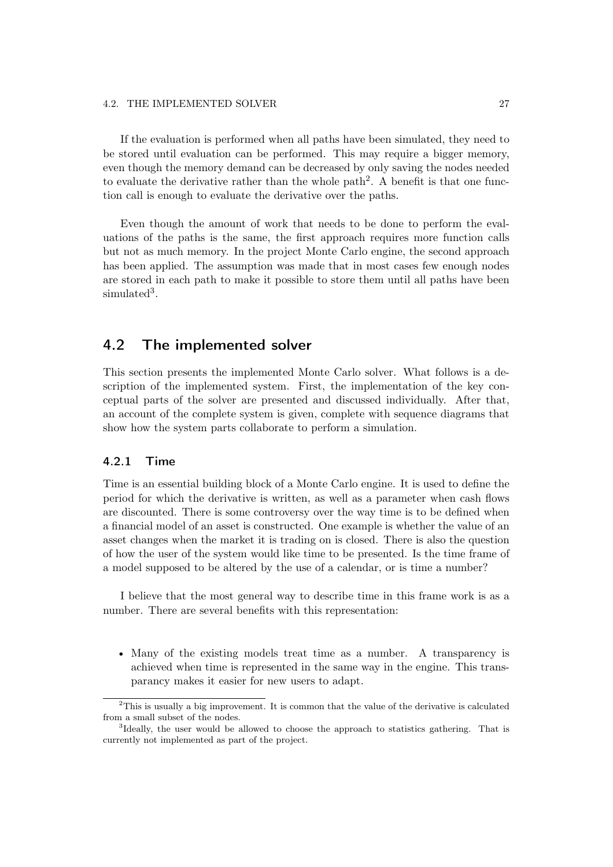#### 4.2. THE IMPLEMENTED SOLVER 27

If the evaluation is performed when all paths have been simulated, they need to be stored until evaluation can be performed. This may require a bigger memory, even though the memory demand can be decreased by only saving the nodes needed to evaluate the derivative rather than the whole path<sup>2</sup>. A benefit is that one function call is enough to evaluate the derivative over the paths.

Even though the amount of work that needs to be done to perform the evaluations of the paths is the same, the first approach requires more function calls but not as much memory. In the project Monte Carlo engine, the second approach has been applied. The assumption was made that in most cases few enough nodes are stored in each path to make it possible to store them until all paths have been simulated<sup>3</sup>.

## 4.2 The implemented solver

This section presents the implemented Monte Carlo solver. What follows is a description of the implemented system. First, the implementation of the key conceptual parts of the solver are presented and discussed individually. After that, an account of the complete system is given, complete with sequence diagrams that show how the system parts collaborate to perform a simulation.

#### 4.2.1 Time

Time is an essential building block of a Monte Carlo engine. It is used to define the period for which the derivative is written, as well as a parameter when cash flows are discounted. There is some controversy over the way time is to be defined when a financial model of an asset is constructed. One example is whether the value of an asset changes when the market it is trading on is closed. There is also the question of how the user of the system would like time to be presented. Is the time frame of a model supposed to be altered by the use of a calendar, or is time a number?

I believe that the most general way to describe time in this frame work is as a number. There are several benefits with this representation:

• Many of the existing models treat time as a number. A transparency is achieved when time is represented in the same way in the engine. This transparancy makes it easier for new users to adapt.

<sup>2</sup>This is usually a big improvement. It is common that the value of the derivative is calculated from a small subset of the nodes.

<sup>3</sup>Ideally, the user would be allowed to choose the approach to statistics gathering. That is currently not implemented as part of the project.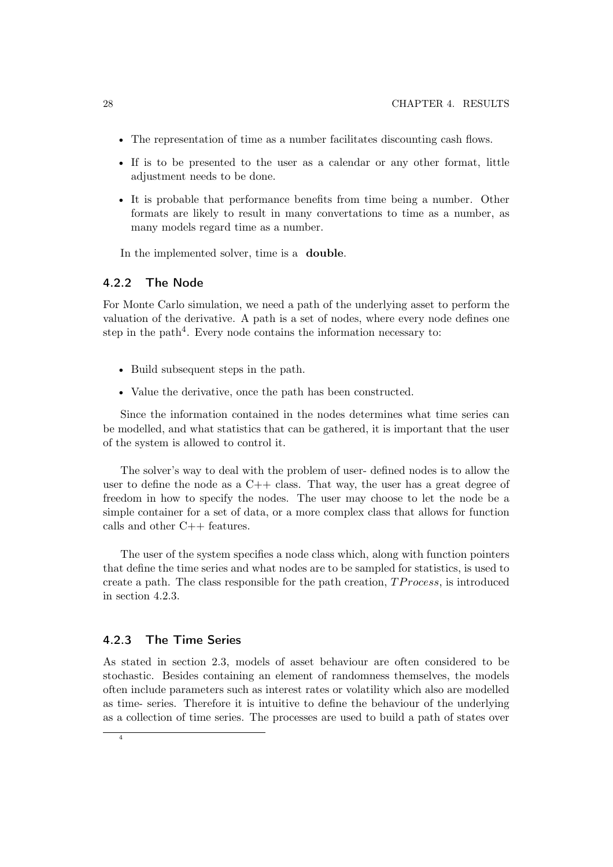- The representation of time as a number facilitates discounting cash flows.
- If is to be presented to the user as a calendar or any other format, little adjustment needs to be done.
- It is probable that performance benefits from time being a number. Other formats are likely to result in many convertations to time as a number, as many models regard time as a number.

In the implemented solver, time is a **double**.

#### 4.2.2 The Node

For Monte Carlo simulation, we need a path of the underlying asset to perform the valuation of the derivative. A path is a set of nodes,where every node defines one step in the path<sup>4</sup>. Every node contains the information necessary to:

- Build subsequent steps in the path.
- Value the derivative, once the path has been constructed.

Since the information contained in the nodes determines what time series can be modelled, and what statistics that can be gathered, it is important that the user of the system is allowed to control it.

The solver's way to deal with the problem of user- defined nodes is to allow the user to define the node as a  $C_{++}$  class. That way, the user has a great degree of freedom in how to specify the nodes. The user may choose to let the node be a simple container for a set of data, or a more complex class that allows for function calls and other C++ features.

The user of the system specifies a node class which, along with function pointers that define the time series and what nodes are to be sampled for statistics, is used to create a path. The class responsible for the path creation,  $TP \, rocess$ , is introduced in section 4.2.3.

#### 4.2.3 The Time Series

As stated in section 2.3,models of asset behaviour are often considered to be stochastic. Besides containing an element of randomness themselves, the models often include parameters such as interest rates or volatility which also are modelled as time- series. Therefore it is intuitive to define the behaviour of the underlying as a collection of time series. The processes are used to build a path of states over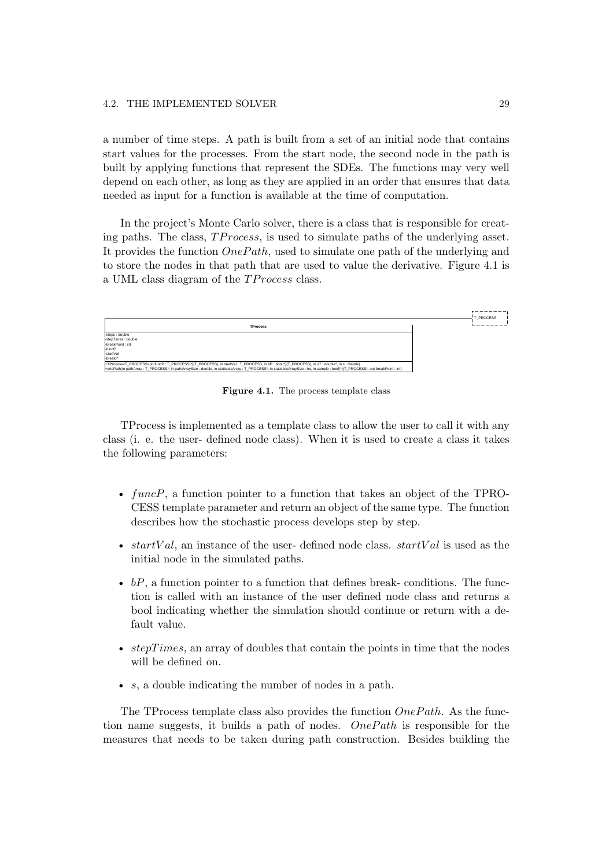a number of time steps. A path is built from a set of an initial node that contains start values for the processes. From the start node, the second node in the path is built by applying functions that represent the SDEs. The functions may very well depend on each other, as long as they are applied in an order that ensures that data needed as input for a function is available at the time of computation.

In the project's Monte Carlo solver, there is a class that is responsible for creating paths. The class,  $TP$  rocess, is used to simulate paths of the underlying asset. It provides the function  $OnePath$ , used to simulate one path of the underlying and to store the nodes in that path that are used to value the derivative. Figure 4.1 is a UML class diagram of the TP rocess class.



**Figure 4.1.** The process template class

TProcess is implemented as a template class to allow the user to call it with any class (i. e. the user- defined node class). When it is used to create a class it takes the following parameters:

- funcP, a function pointer to a function that takes an object of the TPRO-CESS template parameter and return an object of the same type. The function describes how the stochastic process develops step by step.
- startVal, an instance of the user- defined node class.  $startVal$  is used as the initial node in the simulated paths.
- $bP$ , a function pointer to a function that defines break- conditions. The function is called with an instance of the user defined node class and returns a bool indicating whether the simulation should continue or return with a default value.
- $stepTimes$ , an array of doubles that contain the points in time that the nodes will be defined on.
- $s$ , a double indicating the number of nodes in a path.

The TProcess template class also provides the function  $OnePath$ . As the function name suggests, it builds a path of nodes.  $OnePath$  is responsible for the measures that needs to be taken during path construction. Besides building the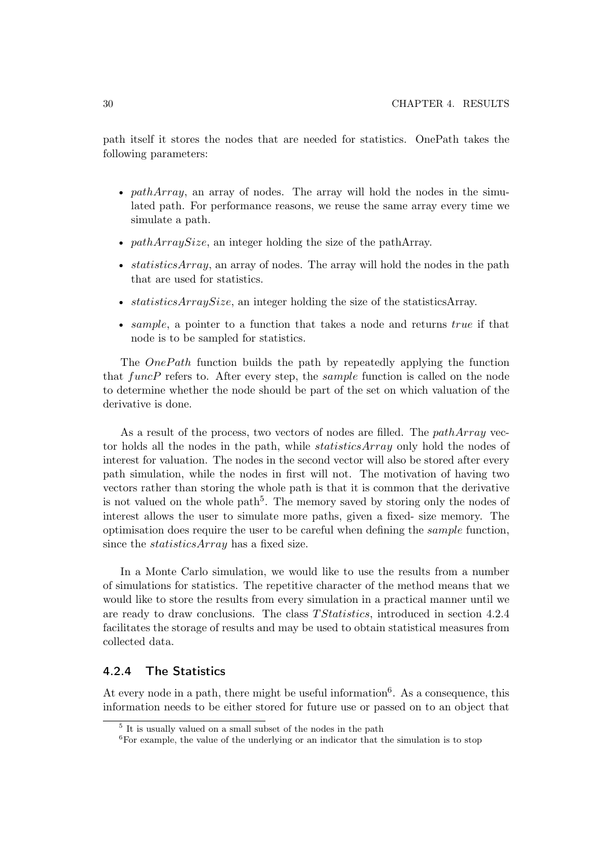path itself it stores the nodes that are needed for statistics. OnePath takes the following parameters:

- pathArray, an array of nodes. The array will hold the nodes in the simulated path. For performance reasons, we reuse the same array every time we simulate a path.
- pathArraySize, an integer holding the size of the pathArray.
- statistics  $Array$ , an array of nodes. The array will hold the nodes in the path that are used for statistics.
- statisticsArraySize, an integer holding the size of the statisticsArray.
- sample, a pointer to a function that takes a node and returns  $true$  if that node is to be sampled for statistics.

The  $OnePath$  function builds the path by repeatedly applying the function that  $funcP$  refers to. After every step, the *sample* function is called on the node to determine whether the node should be part of the set on which valuation of the derivative is done.

As a result of the process, two vectors of nodes are filled. The *pathArray* vector holds all the nodes in the path, while *statisticsArray* only hold the nodes of interest for valuation. The nodes in the second vector will also be stored after every path simulation, while the nodes in first will not. The motivation of having two vectors rather than storing the whole path is that it is common that the derivative is not valued on the whole path<sup>5</sup>. The memory saved by storing only the nodes of interest allows the user to simulate more paths, given a fixed- size memory. The optimisation does require the user to be careful when defining the sample function, since the *statisticsArray* has a fixed size.

In a Monte Carlo simulation,we would like to use the results from a number of simulations for statistics. The repetitive character of the method means that we would like to store the results from every simulation in a practical manner until we are ready to draw conclusions. The class T Statistics, introduced in section 4.2.4 facilitates the storage of results and may be used to obtain statistical measures from collected data.

#### 4.2.4 The Statistics

At every node in a path, there might be useful information<sup>6</sup>. As a consequence, this information needs to be either stored for future use or passed on to an object that

 $5$  It is usually valued on a small subset of the nodes in the path

 ${}^{6}$  For example, the value of the underlying or an indicator that the simulation is to stop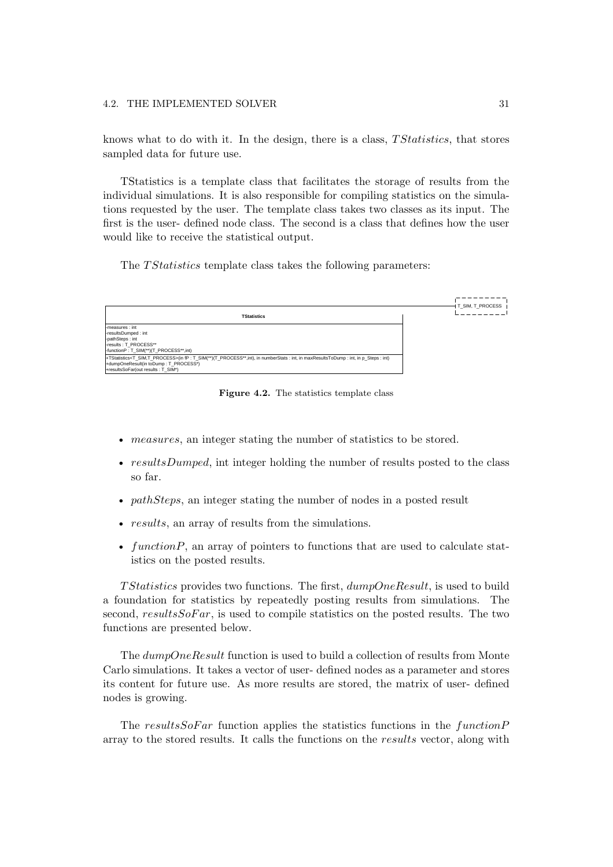knows what to do with it. In the design, there is a class,  $T Statistics$ , that stores sampled data for future use.

TStatistics is a template class that facilitates the storage of results from the individual simulations. It is also responsible for compiling statistics on the simulations requested by the user. The template class takes two classes as its input. The first is the user- defined node class. The second is a class that defines how the user would like to receive the statistical output.

The *T Statistics* template class takes the following parameters:



**Figure 4.2.** The statistics template class

- measures, an integer stating the number of statistics to be stored.
- $resultsDumped$ , intimately holding the number of results posted to the class so far.
- $pathSteps$ , an integer stating the number of nodes in a posted result
- results, an array of results from the simulations.
- function  $P$ , an array of pointers to functions that are used to calculate statistics on the posted results.

T Statistics provides two functions. The first,  $dumpOneResult$ , is used to build a foundation for statistics by repeatedly posting results from simulations. The second,  $resultsSoFar$ , is used to compile statistics on the posted results. The two functions are presented below.

The dumpOneResult function is used to build a collection of results from Monte Carlo simulations. It takes a vector of user- defined nodes as a parameter and stores its content for future use. As more results are stored, the matrix of user- defined nodes is growing.

The resultsSoFar function applies the statistics functions in the  $functionP$ array to the stored results. It calls the functions on the results vector, along with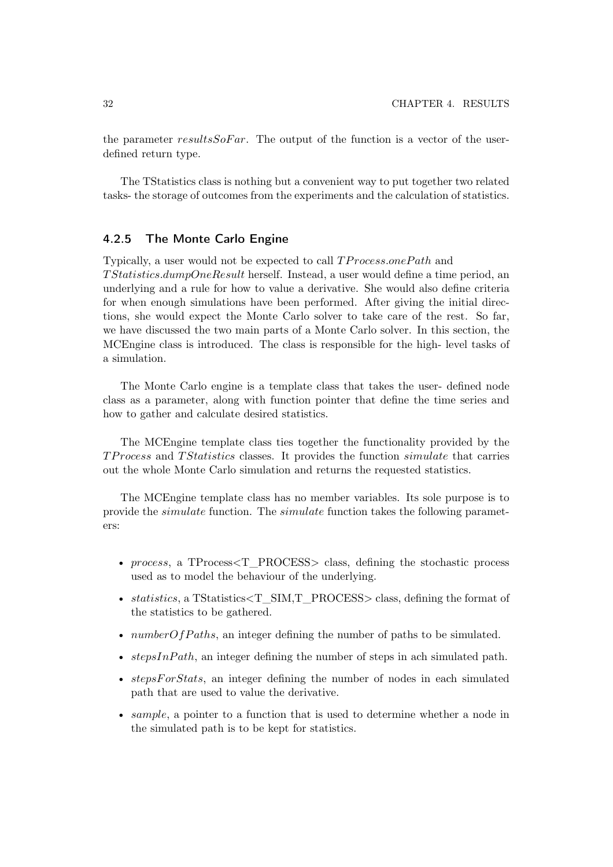the parameter resultsSoFar. The output of the function is a vector of the userdefined return type.

The TStatistics class is nothing but a convenient way to put together two related tasks- the storage of outcomes from the experiments and the calculation of statistics.

#### 4.2.5 The Monte Carlo Engine

Typically, a user would not be expected to call  $TP \textit{rocess}$  onePath and T Statistics.dumpOneResult herself. Instead,a user would define a time period,an underlying and a rule for how to value a derivative. She would also define criteria for when enough simulations have been performed. After giving the initial directions, she would expect the Monte Carlo solver to take care of the rest. So far, we have discussed the two main parts of a Monte Carlo solver. In this section, the MCEngine class is introduced. The class is responsible for the high- level tasks of a simulation.

The Monte Carlo engine is a template class that takes the user- defined node class as a parameter, along with function pointer that define the time series and how to gather and calculate desired statistics.

The MCEngine template class ties together the functionality provided by the TProcess and TStatistics classes. It provides the function simulate that carries out the whole Monte Carlo simulation and returns the requested statistics.

The MCEngine template class has no member variables. Its sole purpose is to provide the simulate function. The simulate function takes the following parameters:

- process, a TProcess $\text{ST\_PROCESS>}$  class, defining the stochastic process used as to model the behaviour of the underlying.
- statistics, a TStatistics  $\leq$ T SIM,T PROCESS class, defining the format of the statistics to be gathered.
- $numberOfPaths$ , an integer defining the number of paths to be simulated.
- stepsInPath, an integer defining the number of steps in ach simulated path.
- stepsForStats, an integer defining the number of nodes in each simulated path that are used to value the derivative.
- sample, a pointer to a function that is used to determine whether a node in the simulated path is to be kept for statistics.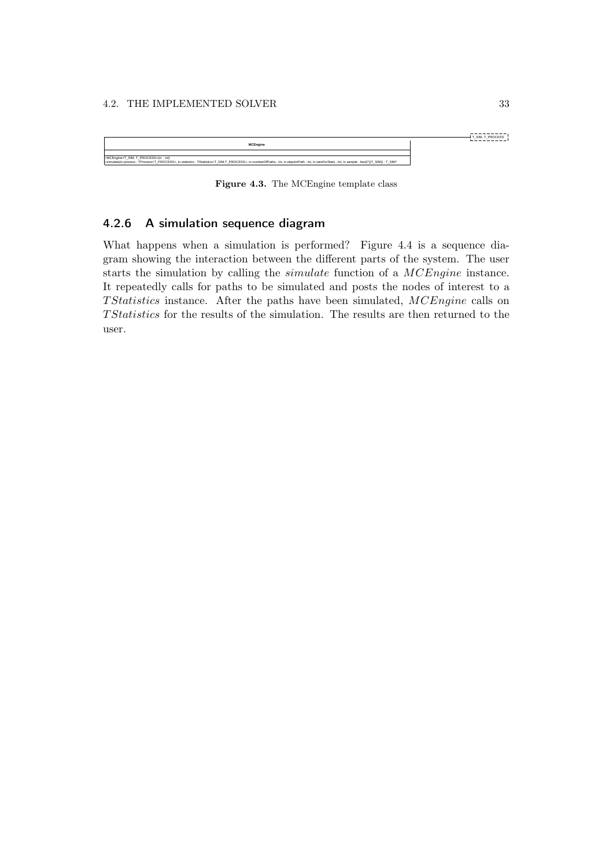#### 4.2. THE IMPLEMENTED SOLVER 33



**Figure 4.3.** The MCEngine template class

### 4.2.6 A simulation sequence diagram

What happens when a simulation is performed? Figure 4.4 is a sequence diagram showing the interaction between the different parts of the system. The user starts the simulation by calling the simulate function of a MCEngine instance. It repeatedly calls for paths to be simulated and posts the nodes of interest to a T Statistics instance. After the paths have been simulated, MCEngine calls on T Statistics for the results of the simulation. The results are then returned to the user.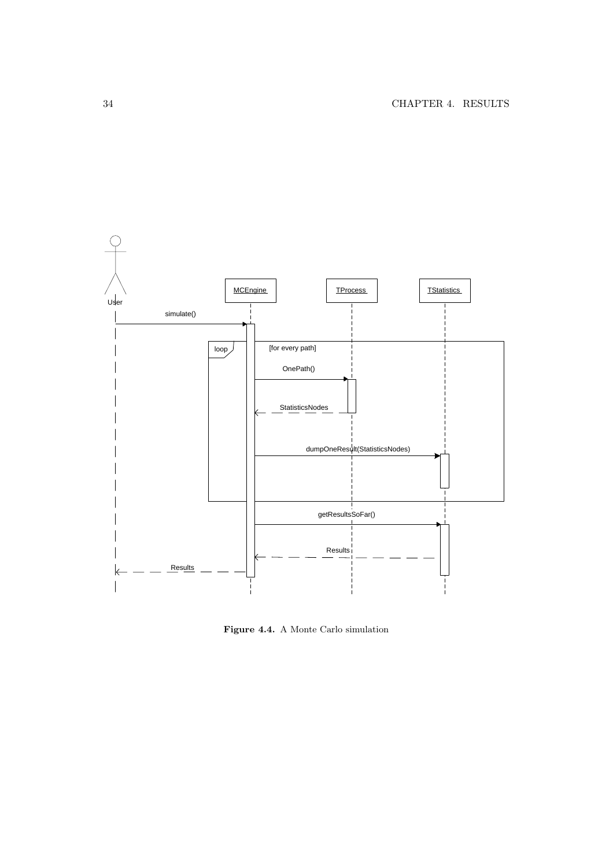

**Figure 4.4.** A Monte Carlo simulation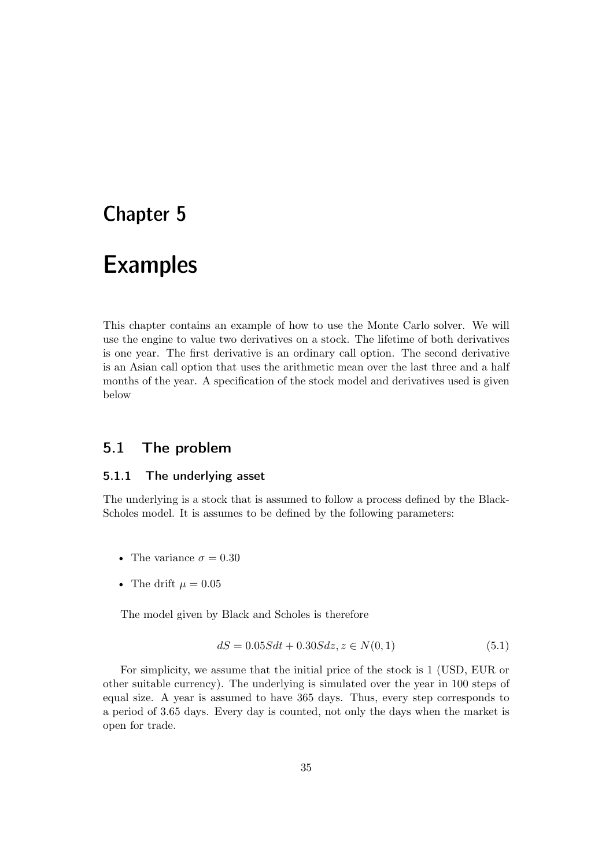# Chapter 5

# Examples

This chapter contains an example of how to use the Monte Carlo solver. We will use the engine to value two derivatives on a stock. The lifetime of both derivatives is one year. The first derivative is an ordinary call option. The second derivative is an Asian call option that uses the arithmetic mean over the last three and a half months of the year. A specification of the stock model and derivatives used is given below

## 5.1 The problem

#### 5.1.1 The underlying asset

The underlying is a stock that is assumed to follow a process defined by the Black-Scholes model. It is assumes to be defined by the following parameters:

- The variance  $\sigma = 0.30$
- The drift  $\mu = 0.05$

The model given by Black and Scholes is therefore

$$
dS = 0.05Sdt + 0.30Sdz, z \in N(0, 1)
$$
\n
$$
(5.1)
$$

For simplicity, we assume that the initial price of the stock is 1 (USD, EUR or other suitable currency). The underlying is simulated over the year in 100 steps of equal size. A year is assumed to have 365 days. Thus, every step corresponds to a period of 3.65 days. Every day is counted,not only the days when the market is open for trade.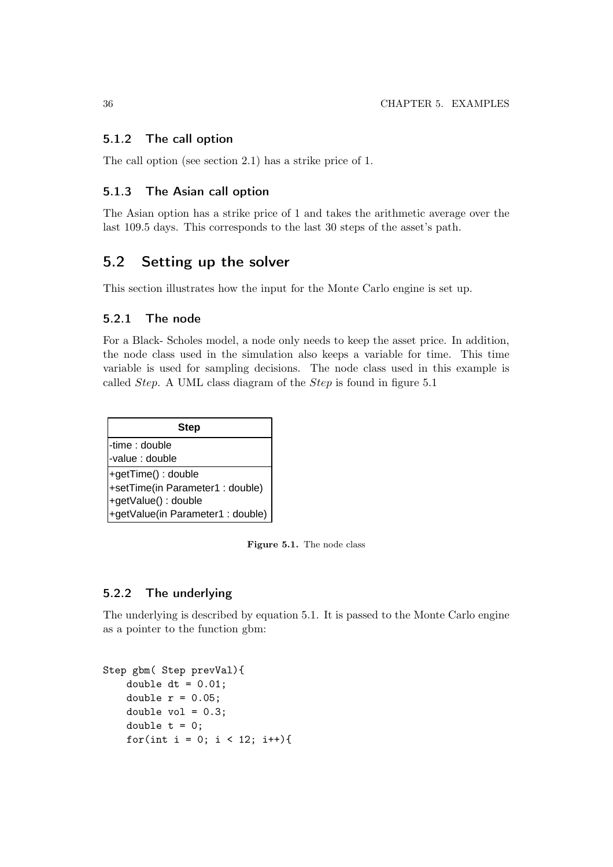#### 5.1.2 The call option

The call option (see section 2.1) has a strike price of 1.

#### 5.1.3 The Asian call option

The Asian option has a strike price of 1 and takes the arithmetic average over the last 109.5 days. This corresponds to the last 30 steps of the asset's path.

## 5.2 Setting up the solver

This section illustrates how the input for the Monte Carlo engine is set up.

#### 5.2.1 The node

For a Black- Scholes model, a node only needs to keep the asset price. In addition, the node class used in the simulation also keeps a variable for time. This time variable is used for sampling decisions. The node class used in this example is called Step. A UML class diagram of the Step is found in figure 5.1

| <b>Step</b>                      |  |  |
|----------------------------------|--|--|
| I-time : double                  |  |  |
| -value : double                  |  |  |
| +getTime() : double              |  |  |
| +setTime(in Parameter1: double)  |  |  |
| +getValue() : double             |  |  |
| +getValue(in Parameter1: double) |  |  |

**Figure 5.1.** The node class

#### 5.2.2 The underlying

The underlying is described by equation 5.1. It is passed to the Monte Carlo engine as a pointer to the function gbm:

```
Step gbm( Step prevVal){
    double dt = 0.01;
    double r = 0.05;
    double vol = 0.3;
    double t = 0;
    for(int i = 0; i < 12; i++){
```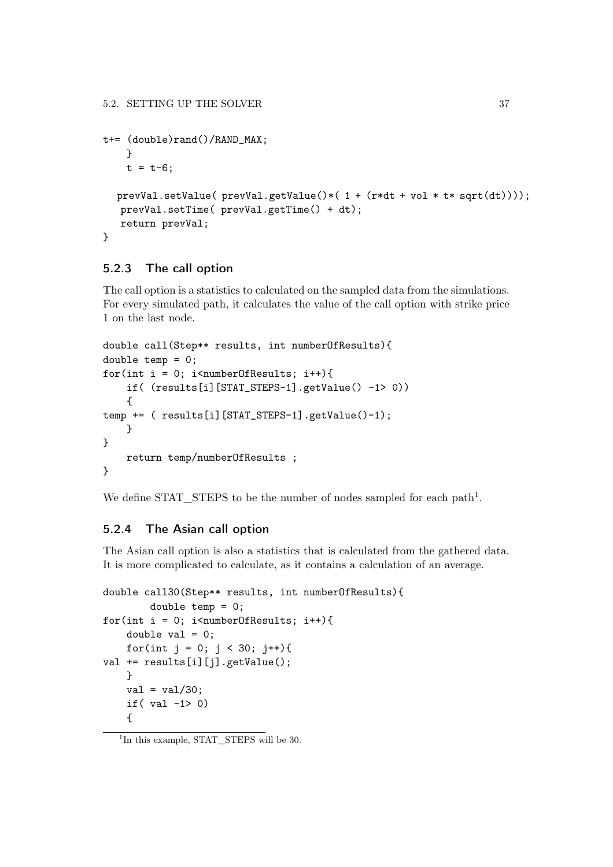```
t+= (double)rand()/RAND_MAX;
    }
   t = t - 6;
  prevVal.setValue( prevVal.getValue()*( 1 + (r*dt + vol * t* sqrt(dt))));
   prevVal.setTime( prevVal.getTime() + dt);
   return prevVal;
}
```
### 5.2.3 The call option

The call option is a statistics to calculated on the sampled data from the simulations. For every simulated path, it calculates the value of the call option with strike price 1 on the last node.

```
double call(Step** results, int numberOfResults){
double temp = 0;
for(int i = 0; i<numberOfResults; i^{++}){
    if( (results[i][STAT_STEPS-1].getValue() -1> 0))
    {
temp += ( results[i][STAT_STEPS-1].getValue()-1);
    }
}
    return temp/numberOfResults ;
}
```
We define STAT STEPS to be the number of nodes sampled for each path<sup>1</sup>.

#### 5.2.4 The Asian call option

The Asian call option is also a statistics that is calculated from the gathered data. It is more complicated to calculate, as it contains a calculation of an average.

```
double call30(Step** results, int numberOfResults){
        double temp = 0;
for(int i = 0; i<numberOfResults; i^{++}){
    double val = 0;
    for(int j = 0; j < 30; j++){
val += results[i][j].getValue();
    }
    val = val/30;if(val -1 > 0)
    {
```
 $1$ In this example, STAT STEPS will be 30.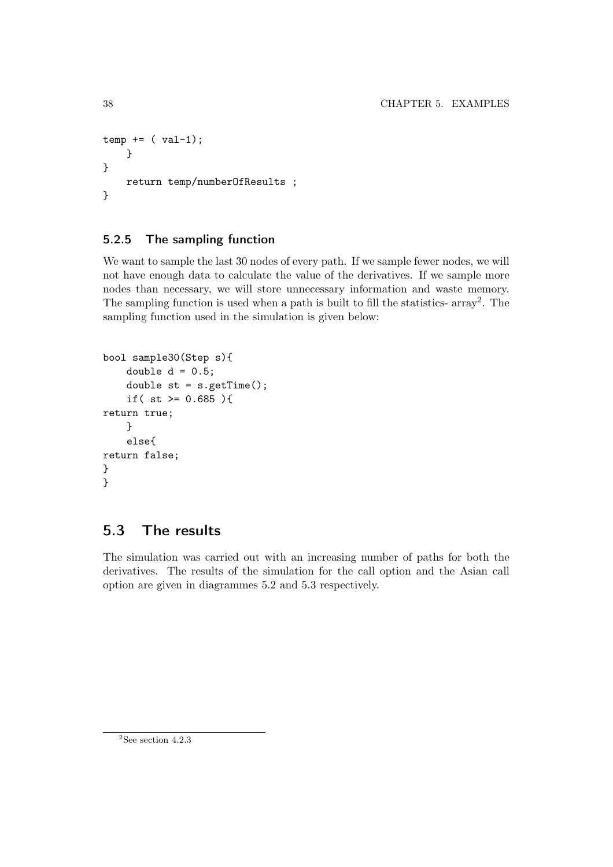```
temp += (val-1);}
}
    return temp/numberOfResults ;
}
```
# 5.2.5 The sampling function

We want to sample the last 30 nodes of every path. If we sample fewer nodes, we will not have enough data to calculate the value of the derivatives. If we sample more nodes than necessary, we will store unnecessary information and waste memory. The sampling function is used when a path is built to fill the statistics- array2. The sampling function used in the simulation is given below:

```
bool sample30(Step s){
    double d = 0.5;
    double st = s.getTime();
    if( st >= 0.685 ){
return true;
    }
    else{
return false;
}
}
```
# 5.3 The results

The simulation was carried out with an increasing number of paths for both the derivatives. The results of the simulation for the call option and the Asian call option are given in diagrammes 5.2 and 5.3 respectively.

 ${}^{2}$ See section 4.2.3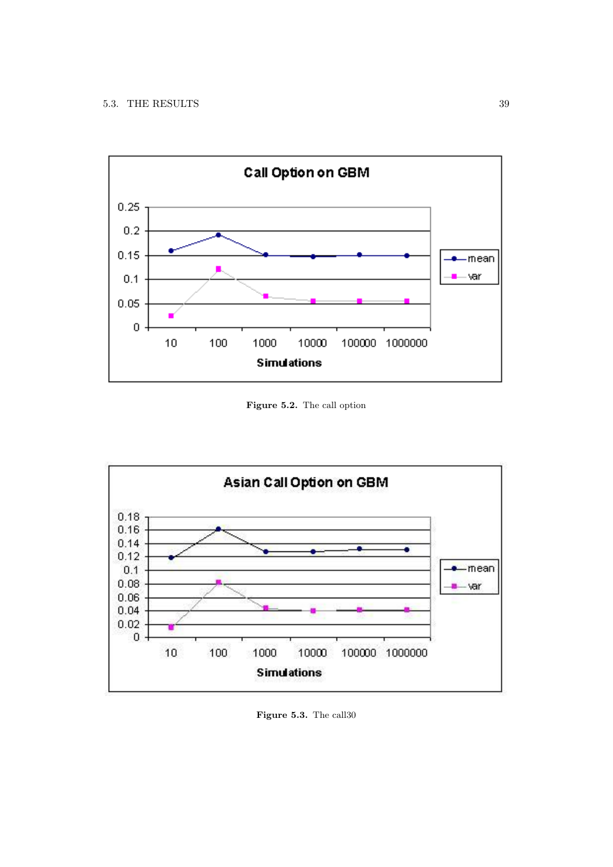

**Figure 5.2.** The call option



**Figure 5.3.** The call30